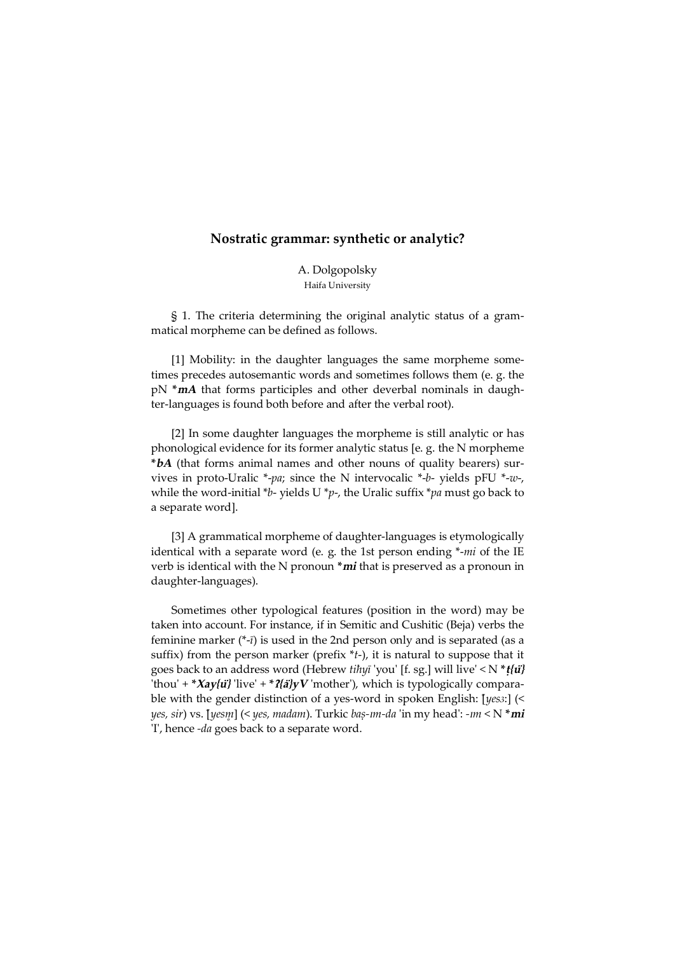# **Nostratic grammar: synthetic or analytic?**

A. Dolgopolsky Haifa University

 § 1. The criteria determining the original analytic status of a grammatical morpheme can be defined as follows.

[1] Mobility: in the daughter languages the same morpheme sometimes precedes autosemantic words and sometimes follows them (e. g. the pN **\****mA* that forms participles and other deverbal nominals in daughter-languages is found both before and after the verbal root).

[2] In some daughter languages the morpheme is still analytic or has phonological evidence for its former analytic status [e. g. the N morpheme **\****bA* (that forms animal names and other nouns of quality bearers) survives in proto-Uralic \*-*pa*; since the N intervocalic \*-*b*- yields pFU \*-*w*-, while the word-initial \**b*- yields U \**p*-, the Uralic suffix \**pa* must go back to a separate word].

[3] A grammatical morpheme of daughter-languages is etymologically identical with a separate word (e. g. the 1st person ending \*-*mi* of the IE verb is identical with the N pronoun **\****mi* that is preserved as a pronoun in daughter-languages).

Sometimes other typological features (position in the word) may be taken into account. For instance, if in Semitic and Cushitic (Beja) verbs the feminine marker (\*-*ī*) is used in the 2nd person only and is separated (as a suffix) from the person marker (prefix \**t*-), it is natural to suppose that it goes back to an address word (Hebrew *tiħyī* 'you' [f. sg.] will live' < N **\****<sup>t</sup>{u}* 'thou' + **\****Хay{u}* 'live' + **\****ʔ{a}yV* 'mother'), which is typologically comparable with the gender distinction of a yes-word in spoken English: [*yesз*:] (< *yes, sir*) vs. [*yes*] (< *yes, madam*). Turkic *baṣ-ɪm-da* 'in my head': *-ɪm* < N **\****mi* 'I', hence *-da* goes back to a separate word.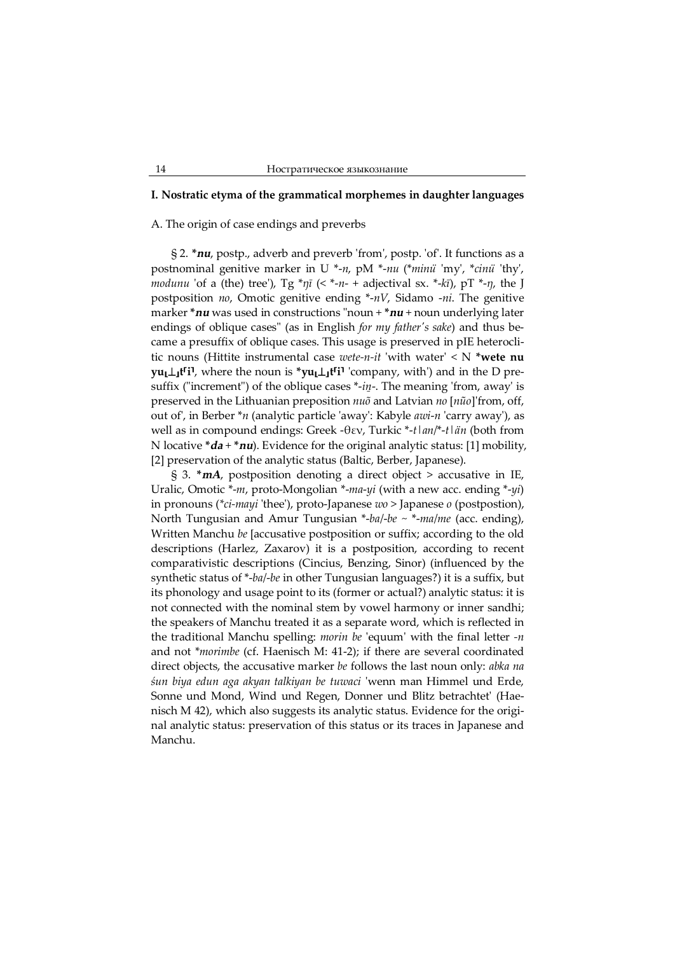#### **I. Nostratic etyma of the grammatical morphemes in daughter languages**

A. The origin of case endings and preverbs

§ 2. **\****nu*, postp., adverb and preverb 'from', postp. 'of'. It functions as a postnominal genitive marker in U \*-*n*, pM \*-*nu* (\**minu* 'my', \**cinu* 'thy', *modunu* 'of a (the) tree'), Tg \**ŋī* (< \*-*n*- + adjectival sx. \*-*kī*), pT \*-*ŋ*, the J postposition *no*, Omotic genitive ending \*-*nV*, Sidamo -*ni*. The genitive marker **\****nu* was used in constructions "noun + **\****nu* + noun underlying later endings of oblique cases" (as in English *for my father's sake*) and thus became a presuffix of oblique cases. This usage is preserved in pIE heteroclitic nouns (Hittite instrumental case *wete-n-it* 'with water' < N **\*wete nu yu^ti**, where the noun is **\*yu^ti** 'company, with') and in the D presuffix ("increment") of the oblique cases \*-*in*-. The meaning 'from, away' is preserved in the Lithuanian preposition *nuõ* and Latvian *no* [*nuo*]'from, off, out of', in Berber \**n* (analytic particle 'away': Kabyle *awi*-*n* 'carry away'), as well as in compound endings: Greek -θεν, Turkic \*-*t|an*/\*-*t|an* (both from N locative **\****da* + **\****nu*). Evidence for the original analytic status: [1] mobility, [2] preservation of the analytic status (Baltic, Berber, Japanese).

§ 3. **\****mA*, postposition denoting a direct object > accusative in IE, Uralic, Omotic \*-*m*, proto-Mongolian \*-*ma*-*yi* (with a new acc. ending \*-*yi*) in pronouns (*\*ci-mayi* 'thee'), proto-Japanese *wo* > Japanese *o* (postpostion), North Tungusian and Amur Tungusian \*-*ba*/-*be ~* \*-*ma*/*me* (acc. ending), Written Manchu *be* [accusative postposition or suffix; according to the old descriptions (Harlez, Zaxarov) it is a postposition, according to recent comparativistic descriptions (Cincius, Benzing, Sinor) (influenced by the synthetic status of \*-*ba*/-*be* in other Tungusian languages?) it is a suffix, but its phonology and usage point to its (former or actual?) analytic status: it is not connected with the nominal stem by vowel harmony or inner sandhi; the speakers of Manchu treated it as a separate word, which is reflected in the traditional Manchu spelling: *morin be* 'equum' with the final letter *-n* and not \**morimbe* (cf. Haenisch M: 41-2); if there are several coordinated direct objects, the accusative marker *be* follows the last noun only: *abka na śun biya edun aga akyan talkiyan be tuwaci* 'wenn man Himmel und Erde, Sonne und Mond, Wind und Regen, Donner und Blitz betrachtet' (Haenisch M 42), which also suggests its analytic status. Evidence for the original analytic status: preservation of this status or its traces in Japanese and Manchu.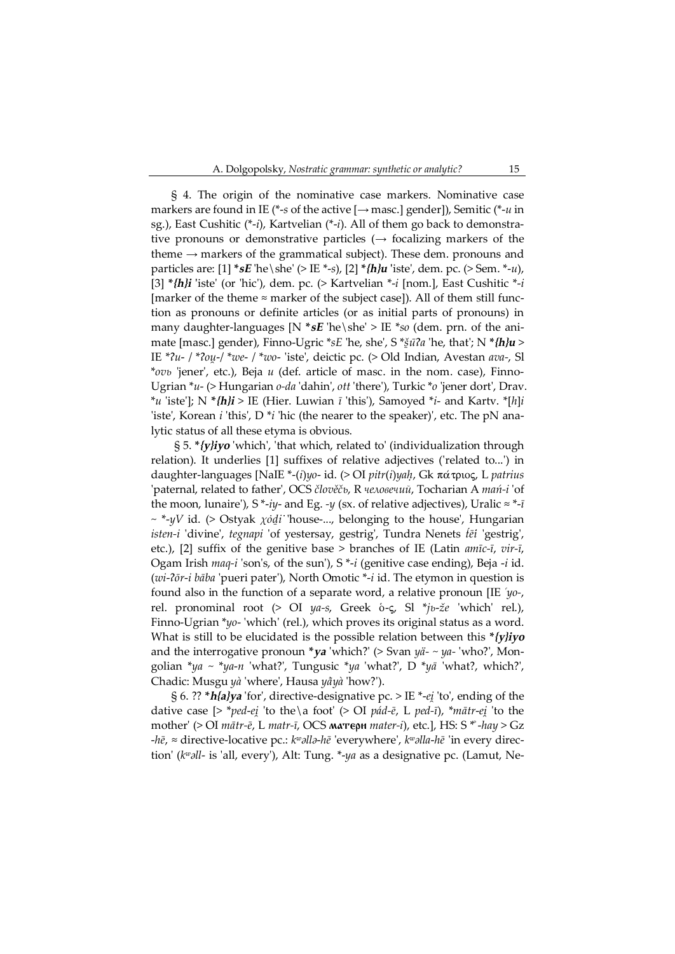§ 4. The origin of the nominative case markers. Nominative case markers are found in IE (\*-*s* of the active [→ masc.] gender]), Semitic (\*-*u* in sg.), East Cushitic (\*-*i*), Kartvelian (\*-*i*). All of them go back to demonstrative pronouns or demonstrative particles  $(\rightarrow$  focalizing markers of the theme  $\rightarrow$  markers of the grammatical subject). These dem. pronouns and particles are: [1] **\****sE* 'he\she' (> IE \*-*s*), [2] **\****{h}u* **'**iste', dem. pc. (> Sem. \*-*u*), [3] **\****{h}i* **'**iste' (or 'hic'), dem. pc. (> Kartvelian \*-*i* [nom.], East Cushitic \*-*i* [marker of the theme  $\approx$  marker of the subject case]). All of them still function as pronouns or definite articles (or as initial parts of pronouns) in many daughter-languages [N **\****sE* 'he\she' > IE \**so* (dem. prn. of the animate [masc.] gender), Finno-Ugric \**sE* 'he, she', S \**suʔa* 'he, that'; N **\****{h}u* > IE \**ʔu*- / \**ʔo*-/ \**we*- / \**wo*- 'iste', deictic pc. (> Old Indian, Avestan *ava-*, Sl \**ovь* 'jener', etc.), Beja *u* (def. article of masc. in the nom. case), Finno-Ugrian  $*u$ - (> Hungarian *o-da* 'dahin', *ott* 'there'), Turkic  $*o$  'jener dort', Drav. \**u* 'iste']; N **\****{h}i* > IE (Hier. Luwian *ī* 'this'), Samoyed \**i*- and Kartv. \*[*h*]*i* 'iste', Korean *i* 'this', D \**i* 'hic (the nearer to the speaker)', etc. The pN analytic status of all these etyma is obvious.

§ 5. **\****{y}iyo* 'which', 'that which, related to' (individualization through relation). It underlies [1] suffixes of relative adjectives ('related to...') in daughter-languages [NaIE \*-(*i*)*yo*- id. (> OI *pitr*(*i*)*yah*, Gk πάτριος, L *patrius* 'paternal, related to father', OCS *clověcь*, R *человечий*, Tocharian A *mań-i* 'of the moon, lunaire'), S \*-*iy*- and Eg. -*y* (sx. of relative adjectives), Uralic  $\approx$  \*-*ī ~* \*-*yV* id. (> Ostyak *χodi* 'house-..., belonging to the house', Hungarian *isten-i* 'divine', *tegnapi* 'of yestersay, gestrig', Tundra Nenets *fēi* 'gestrig', etc.), [2] suffix of the genitive base > branches of IE (Latin *amīc-ī*, *vir-ī*, Ogam Irish *maq-i* 'son's, of the sun'), S \*-*i* (genitive case ending), Beja -*i* id. (*wi*-*ʔor*-*i baba* 'pueri pater'), North Omotic \*-*i* id. The etymon in question is found also in the function of a separate word, a relative pronoun [IE *῾yo-*, rel. pronominal root (> OI *ya-s*, Greek *δ-ς*, Sl \**j<sub>b</sub>-že* 'which' rel.), Finno-Ugrian \**yo*- 'which' (rel.), which proves its original status as a word. What is still to be elucidated is the possible relation between this **\****{y}iyo*  and the interrogative pronoun **\****ya* 'which?' (> Svan *ya- ~ ya-* 'who?', Mongolian \**ya ~* \**ya*-*n* 'what?', Tungusic \**ya* 'what?', D \**ya* 'what?, which?', Chadic: Musgu *yà* 'where', Hausa *yayà* 'how?').

§ 6. ?? **\****h{a}ya* 'for', directive-designative pc. > IE \*-*e* 'to', ending of the dative case [> \**ped*-*e* 'to the\a foot' (> OI *pád-e*, L *ped-ī*), \**matr*-*e* 'to the mother' (> OI *matr-e*, L *matr-ī*, OCS матери *mater-i*), etc.], HS: S \* -*hay* > Gz -*he*, ≈ directive-locative pc.: *kₙəllə*-*he* 'everywhere', *kₙəlla*-*he* 'in every direction' (*kₙəll*- is 'all, every'), Alt: Tung. \*-*ya* as a designative pc. (Lamut, Ne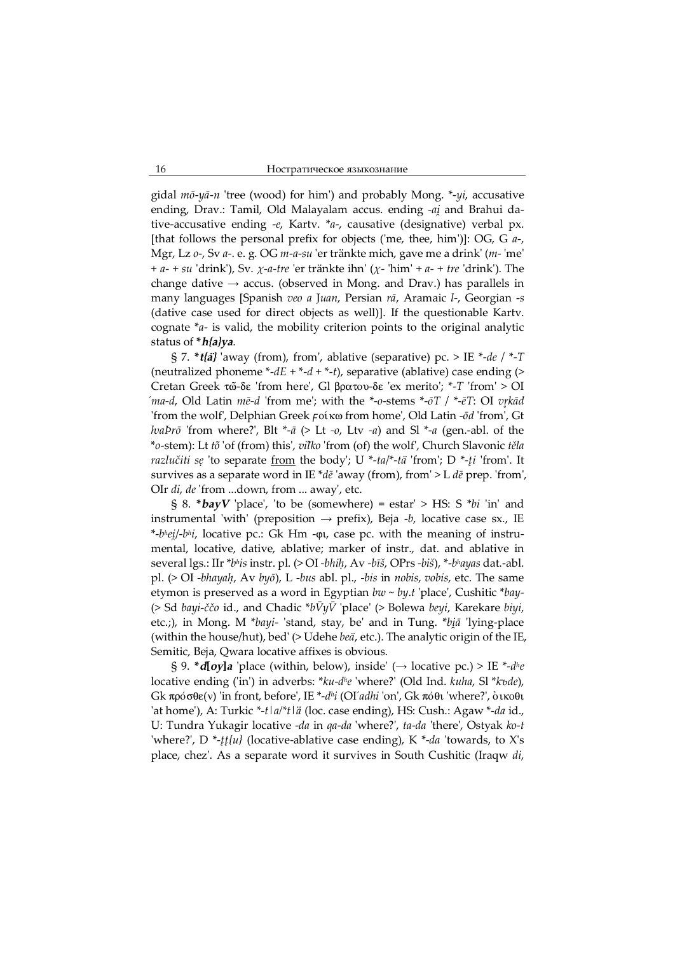gidal *mo*-*ya*-*n* 'tree (wood) for him') and probably Mong. \*-*yi*, accusative ending, Drav.: Tamil, Old Malayalam accus. ending -ai and Brahui dative-accusative ending -*e*, Kartv. \**a*-, causative (designative) verbal px. [that follows the personal prefix for objects ('me, thee, him')]: OG, G *a*-, Mgr, Lz *o*-, Sv *a*-. e. g. OG *m*-*a*-*su* 'er tränkte mich, gave me a drink' (*m*- 'me' + *a*- + *su* 'drink'), Sv. *χ*-*a*-*tre* 'er tränkte ihn' (*χ*- 'him' + *a*- + *tre* 'drink'). The change dative  $\rightarrow$  accus. (observed in Mong. and Drav.) has parallels in many languages [Spanish *veo a* J*uan*, Persian *ra*, Aramaic *l-*, Georgian -*s* (dative case used for direct objects as well)]. If the questionable Kartv. cognate \**a*- is valid, the mobility criterion points to the original analytic status of **\****h{a}ya*.

§ 7. **\****t{a}* 'away (from), from', ablative (separative) pc. > IE \*-*de* / \*-*T* (neutralized phoneme \*-*dЕ* + \*-*d* + \*-*t*), separative (ablative) case ending (> Cretan Greek τῶ-δε 'from here', Gl βρατου-δε 'ex merito'; \*-*T* 'from' > OI *ma-d*, Old Latin *me-d* 'from me'; with the \*-*o*-stems \*-*oT* / \*-*eT*: OI *vkad* 'from the wolf', Delphian Greek from home', Old Latin *-od* 'from', Gt *ƕaÞro* 'from where?', Blt \*-*a* (> Lt *-o*, Ltv *-a*) and Sl \*-*a* (gen.-abl. of the \**o*-stem): Lt *tõ* 'of (from) this', *vilko* 'from (of) the wolf', Church Slavonic *těla razluciti sẹ* 'to separate from the body'; U \*-*ta*/\*-*ta* 'from'; D \*-*ti* 'from'. It survives as a separate word in IE \**de* 'away (from), from' > L *de* prep. 'from', OIr *di*, *de* 'from ...down, from ... away', etc.

§ 8. **\****bayV* 'place', 'to be (somewhere) = estar' > HS: S \**bi* 'in' and instrumental 'with' (preposition  $\rightarrow$  prefix), Beja -b, locative case sx., IE \*-*b*<sup>*h*</sup>e*i*/-*b*<sup>*h*</sup>*i*, locative pc.: Gk Hm - $\varphi$ *i*, case pc. with the meaning of instrumental, locative, dative, ablative; marker of instr., dat. and ablative in several lgs.: IIr \**b h is* instr. pl. (> OI *-bhih*, Av *-bīs*, OPrs *-bis*), \*-*b <sup>h</sup>ayas* dat.-abl. pl. (> OI *-bhayah*, Av *byo*), L *-bus* abl. pl., *-bis* in *nobis*, *vobis*, etc. The same etymon is preserved as a word in Egyptian *bw ~ by*.*t* 'place', Cushitic \**bay*- (> Sd *bayi*-*cco* id., and Chadic \**by* 'place' (> Bolewa *beyi*, Karekare *biyi*, etc.;), in Mong. M \**bayi*- 'stand, stay, be' and in Tung. \**ba* 'lying-place (within the house/hut), bed' (> Udehe *bea*, etc.). The analytic origin of the IE, Semitic, Beja, Qwara locative affixes is obvious.

§ 9.  $*d[oy]a'place (within, below), inside' ( $\rightarrow$  locative pc.) > IE  $*-d^h e$$ locative ending ('in') in adverbs: \**ku*-*dhe* 'where?' (Old Ind. *kuha*, Sl \**kъde*), Gk πρόσθε(ν) 'in front, before', IE \*-*dʰi (OI´adhi '*on', Gk πόθι 'where?', ὀικοθι 'at home'), A: Turkic *\*-t|a/\*t|a* (loc. case ending), HS: Cush.: Agaw \*-*da* id., U: Tundra Yukagir locative -*da* in *qa*-*da* 'where?', *ta*-*da* 'there', Ostyak *ko*-*t* 'where?', D \*-*tt{u}* (locative-ablative case ending), K \*-*da* 'towards, to X's place, chez'. As a separate word it survives in South Cushitic (Iraqw *di*,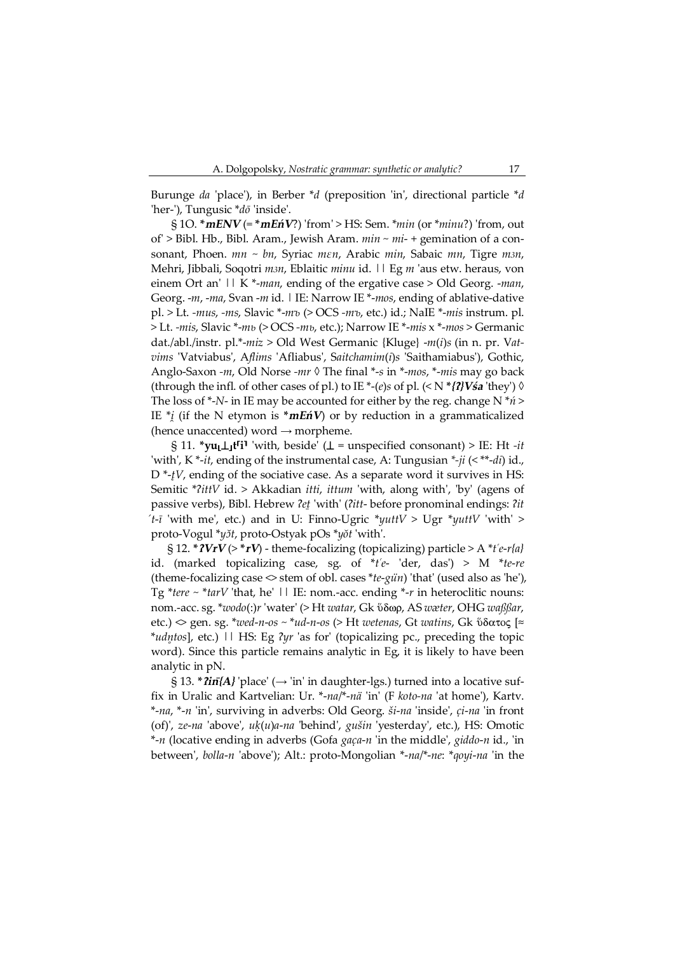Burunge *da* 'place'), in Berber \**d* (preposition 'in', directional particle \**d* 'her-'), Tungusic \**do* 'inside'.

§ 1O. **\****mENV* (= **\****mEńV*?) 'from' > HS: Sem. \**min* (or \**minu*?) 'from, out of' > Bibl. Hb., Bibl. Aram., Jewish Aram. *min ~ mi*- + gemination of a consonant, Phoen. *mn ~ bn*, Syriac *mɛn*, Arabic *min*, Sabaic *mn*, Tigre *mзn*, Mehri, Jibbali, Soqotri *mзn*, Eblaitic *minu* id. || Eg *m* 'aus etw. heraus, von einem Ort an' || K \*-*man*, ending of the ergative case > Old Georg. -*man*, Georg. -*m*, -*ma*, Svan -*m* id. | IE: Narrow IE \*-*mos*, ending of ablative-dative pl. > Lt. *-mus*, *-ms*, Slavic \*-*mъ* (> OCS *-mъ*, etc.) id.; NaIE \*-*mis* instrum. pl. > Lt. *-mis*, Slavic \*-*mь* (> OCS *-mь*, etc.); Narrow IE \*-*mis* x \*-*mos* > Germanic dat./abl./instr. pl.\*-*miz* > Old West Germanic {Kluge} -*m*(*i*)*s* (in n. pr. V*atvims* 'Vatviabus', A*flims* 'Afliabus', S*aitchamim*(*i*)*s* 'Saithamiabus'), Gothic, Anglo-Saxon *-m*, Old Norse *-mr* ◊ The final \*-*s* in \*-*mos*, \*-*mis* may go back (through the infl. of other cases of pl.) to IE  $*-(e)$ s of pl. ( $\leq N * \{i\}$ V $\leq a$ 'they')  $\Diamond$ The loss of  $*$ -*N*- in IE may be accounted for either by the reg. change N $*$ *ń* > IE  $*_i$  (if the N etymon is  $*_mE^nV$ ) or by reduction in a grammaticalized (hence unaccented) word  $\rightarrow$  morpheme.

§ 11.  $*\mathbf{yu}_\mathsf{L}\mathsf{L}_\mathsf{I}$ **f**<sup> $\mathsf{t}$ <sup>1</sup> 'with, beside' ( $\mathsf{L} =$  unspecified consonant) > IE: Ht *-it*</sup> 'with', K \*-*it*, ending of the instrumental case, A: Tungusian *\*-ji* (< \*\*-*di*) id., D \*-*tV*, ending of the sociative case. As a separate word it survives in HS: Semitic \**ʔittV* id. > Akkadian *itti*, *ittum* 'with, along with', 'by' (agens of passive verbs), Bibl. Hebrew *ʔet* 'with' (*ʔitt*- before pronominal endings: *ʔit t*-*ī* 'with me', etc.) and in U: Finno-Ugric \**yuttV* > Ugr \**yuttV* 'with' > proto-Vogul \**yɔt*, proto-Ostyak pOs \**yŏt* 'with'.

§ 12.  $*2VrV$  (>  $*rV$ ) - theme-focalizing (topicalizing) particle > A  $*te$ -*r*{a} id. (marked topicalizing case, sg. of \**t῾e*- 'der, das') > M \**te*-*re* (theme-focalizing case  $\infty$  stem of obl. cases *\*te-gün*) 'that' (used also as 'he'), Tg \**tere ~* \**tarV* 'that, he' || IE: nom.-acc. ending \*-*r* in heteroclitic nouns: nom.-acc. sg. \**wodo*(:)*r* 'water' (> Ht *watar*, Gk , AS *wæter*, OHG *waßßar*, etc.)  $\Diamond$  gen. sg. \*wed-n-os ~ \*ud-n-os (> Ht wetenas, Gt watins, Gk ὕδατος [≈ \**udtos*], etc.) || HS: Eg *ʔyr* 'as for' (topicalizing pc., preceding the topic word). Since this particle remains analytic in Eg, it is likely to have been analytic in pN.

§ 13. **\*** $\delta$ *in* $\{A\}$ 'place' ( $\rightarrow$  'in' in daughter-lgs.) turned into a locative suffix in Uralic and Kartvelian: Ur. \*-*na*/\*-*na* 'in' (F *koto-na* 'at home'), Kartv. \*-*na*, \*-*n* 'in', surviving in adverbs: Old Georg. *si*-*na* 'inside', *ci*-*na* 'in front (of)', *ze*-*na* 'above', *uk*(*u*)*a*-*na* 'behind', *gusin* 'yesterday', etc.), HS: Omotic \*-*n* (locative ending in adverbs (Gofa *gaca*-*n* 'in the middle', *giddo*-*n* id., 'in between', *bolla*-*n* 'above'); Alt.: proto-Mongolian \*-*na*/\*-*ne*: \**qoyi*-*na* 'in the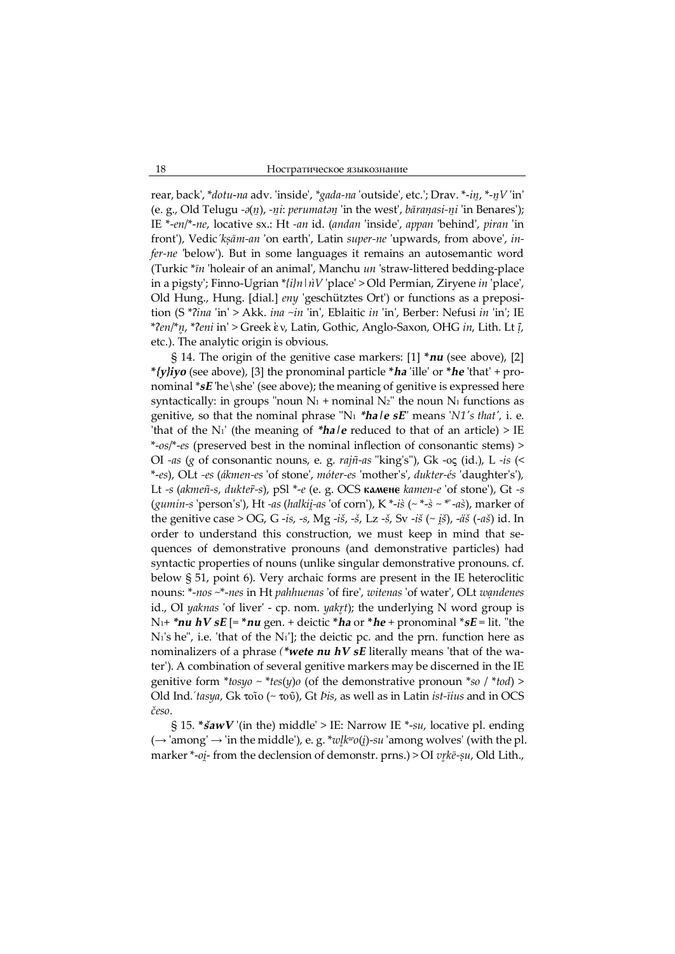rear, back', \**dotu*-*na* adv. 'inside', *\*gada-na* 'outside', etc.'; Drav. \*-*in*, \*-*nV* 'in' (e. g., Old Telugu *-ə*(*n*), *-ni*: *perumatən* 'in the west', *baranasi-ni* 'in Benares'); IE \*-*en*/\*-*ne*, locative sx.: Ht *-an* id. (*andan* 'inside', *appan* 'behind', *piran* 'in front'), Vedic *kṣam-an* 'on earth', Latin *super-ne* 'upwards, from above', *infer-ne* 'below'). But in some languages it remains an autosemantic word (Turkic \**īn* 'holeair of an animal', Manchu *un* 'straw-littered bedding-place in a pigsty'; Finno-Ugrian \**{i}n*|*nV* 'place' > Old Permian, Ziryene *in* 'place', Old Hung., Hung. [dial.] *eny* 'geschütztes Ort') or functions as a preposition (S \**ʔina* 'in' > Akk. *ina ~in* 'in', Eblaitic *in* 'in', Berber: Nefusi *in* 'in'; IE \**ʔen*/\*, \**ʔeni* in' > Greek , Latin, Gothic, Anglo-Saxon, OHG *in*, Lith. Lt *ị*, etc.). The analytic origin is obvious.

§ 14. The origin of the genitive case markers: [1] **\****nu* (see above), [2] **\****{y}iyo* (see above), [3] the pronominal particle **\****ha* 'ille' or **\****he* 'that' + pronominal \***sE** 'he\she' (see above); the meaning of genitive is expressed here syntactically: in groups "noun  $N_1$  + nominal  $N_2$ " the noun  $N_1$  functions as genitive, so that the nominal phrase "N<sup>1</sup> *\*ha|e sE*" means '*N1's that',* i. e. 'that of the N1' (the meaning of *\*ha|e* reduced to that of an article) > IE \*-*os*/\*-*es* (preserved best in the nominal inflection of consonantic stems) > OI *-as* (*g* of consonantic nouns, e. g. *rajñ*-*as* "king's"), Gk -oc (id.), L -is (< \*-*es*), OLt *-es* (*ákmen-es* 'of stone', *móter-es* 'mother's', *dukter-és* 'daughter's'), Lt *-s* (*akmeñ-s*, *dukter-s*), pSl \*-*e* (e. g. OCS камене *kamen-e* 'of stone'), Gt *-s* (*gumin-s* 'person's'), Ht *-as* (*halki-as* 'of corn'), K \*-*is* (*~* \*-*s ~* \* -*as*), marker of the genitive case > OG, G -*is*, -*s*, Mg -*is*, -*s*, Lz -*s*, Sv -*is* (*~ s*), -*as* (-*as*) id. In order to understand this construction, we must keep in mind that sequences of demonstrative pronouns (and demonstrative particles) had syntactic properties of nouns (unlike singular demonstrative pronouns. cf. below § 51, point 6). Very archaic forms are present in the IE heteroclitic nouns: \*-*nos ~*\*-*nes* in Ht *pahhuenas* 'of fire', *witenas* 'of water', OLt *wạndenes* id., OI *yaknas* 'of liver' - cp. nom. *yakt*); the underlying N word group is  $N_1$ + \**nu hV sE* [= \**nu* gen. + deictic \**ha* or \**he* + pronominal \**sE* = lit. "the N<sub>1</sub>'s he", i.e. 'that of the N<sub>1</sub>']; the deictic pc. and the prn. function here as nominalizers of a phrase *(\*wete nu hV sE* literally means 'that of the water'). A combination of several genitive markers may be discerned in the IE genitive form \**tosyo ~* \**tes*(*y*)*o* (of the demonstrative pronoun \**so* / \**tod*) > Old Ind. *tasya*, Gk τοῖο (~ τοῦ), Gt *Þis*, as well as in Latin *ist-īius* and in OCS *ceso*.

§ 15. **\****sawV* '(in the) middle' > IE: Narrow IE \*-*su*, locative pl. ending  $(\rightarrow \text{ 'among'} \rightarrow \text{ 'in the middle'}), e. g. \sqrt[k]{w_0(j)} - su \text{ 'among wolves' (with the pl. }$ marker \*-*oi*- from the declension of demonstr. prns.) > OI *vrk* $\bar{e}$ - $\bar{e}u$ , Old Lith.,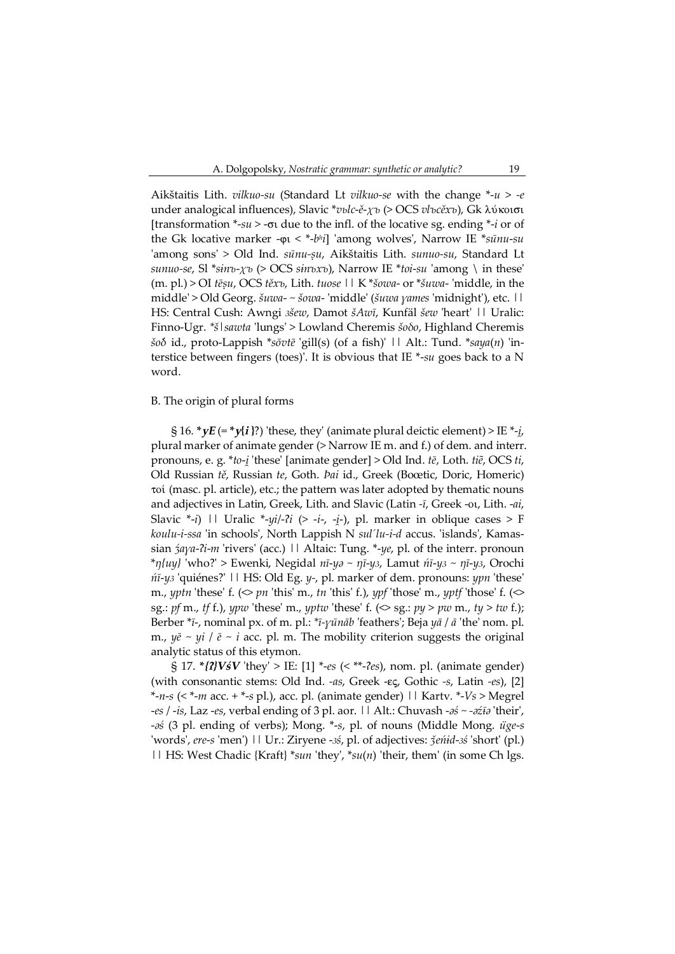Aikštaitis Lith. *vilkuo-su* (Standard Lt *vilkuo-se* with the change \*-*u* > *-e*  under analogical influences), Slavic \**vьlc*-*ě*-*χъ* (> OCS *vlъcěxъ*), Gk [transformation  $*$ - $su$  > - $\sigma$  due to the infl. of the locative sg. ending  $*$ -*i* or of the Gk locative marker - $\varphi$ ι < \*-*b<sup>h</sup>i*] 'among wolves', Narrow IE \**sūnu-su* 'among sons' > Old Ind. *sunu-ṣu*, Aikštaitis Lith. *sunuo-su*, Standard Lt *sunuo-se*, Sl \**sɨnъ*-*χъ* (> OCS *sɨnъxъ*), Narrow IE \**toi*-*su* 'among \ in these' (m. pl.) > OI *teṣu*, OCS *těxъ*, Lith. *tuose* || K \**sowa*- or \**suwa*- 'middle, in the middle' > Old Georg. *suwa*- *~ sowa*- 'middle' (*suwa ɣames* 'midnight'), etc. || HS: Central Cush: Awngi *зsew*, Damot *sAwī*, Kunfäl *sew* 'heart' || Uralic: Finno-Ugr. *\*s|sawta* 'lungs' > Lowland Cheremis *soδo*, Highland Cheremis *soδ* id., proto-Lappish \**sovte* 'gill(s) (of a fish)' || Alt.: Tund. \**saya*(*n*) 'interstice between fingers (toes)'. It is obvious that IE \*-*su* goes back to a N word.

# B. The origin of plural forms

§ 16.  $*$   $yE$  (=  $*$   $y$ {*i*}?) 'these, they' (animate plural deictic element) > IE  $*$ -*i*, plural marker of animate gender (> Narrow IE m. and f.) of dem. and interr. pronouns, e. g. \**to*- 'these' [animate gender] > Old Ind. *te*, Loth. *tiẽ*, OCS *ti*, Old Russian *tě*, Russian *te*, Goth. *Þai* id., Greek (Boœtic, Doric, Homeric) (masc. pl. article), etc.; the pattern was later adopted by thematic nouns and adjectives in Latin, Greek, Lith. and Slavic (Latin -*ī*, Greek -ot, Lith. -ai, Slavic \*-*i*) || Uralic \*-*yi*/-?*i* (> -*i*-, -*i*-), pl. marker in oblique cases > F *koulu-i-ssa* 'in schools', North Lappish N *sul lu-i-d* accus. 'islands', Kamassian  $\frac{4}{3}$ *a*<sup>*z*</sup>*i*-*m* 'rivers' (acc.) || Altaic: Tung. \*-*ye*, pl. of the interr. pronoun \**ŋ{uy}* 'who?' > Ewenki, Negidal *nī*-*yə ~ ŋī*-*yз*, Lamut *ńī*-*yз ~ ŋī*-*yз*, Orochi *ńī*-*yз* 'quiénes?' || HS: Old Eg. *y-*, pl. marker of dem. pronouns: *ypn* 'these' m., *yptn* 'these' f.  $\ll$  *pn* 'this' m., *tn* 'this' f.), *ypf* 'those' m., *yptf* 'those' f.  $\ll$ sg.: *pf* m., *tf* f.), *ypw* 'these' m., *yptw* 'these' f. ( $\leq$  sg.: *py*  $>$  *pw* m., *ty*  $>$  *tw* f.); Berber  $*$ *ī*-, nominal px. of m. pl.:  $*$ *ī*- $\gamma$ *ūnāb* 'feathers'; Beja  $\gamma$ *ā* / *ā* 'the' nom. pl. m.,  $y\bar{e} \sim y\bar{i} / \bar{e} \sim i$  acc. pl. m. The mobility criterion suggests the original analytic status of this etymon.

§ 17. **\****{ʔ}Vś<sup>V</sup>* 'they' > IE: [1] \*-*es* (< \*\*-*ʔes*), nom. pl. (animate gender) (with consonantic stems: Old Ind. *-as*, Greek -ες, Gothic -s, Latin -es), [2] \*-*n*-*s* (< \*-*m* acc. + \*-*s* pl.), acc. pl. (animate gender) || Kartv. \*-*Vs* > Megrel -*es* / -*is*, Laz -*es*, verbal ending of 3 pl. aor. || Alt.: Chuvash -*əś ~ -əźə* 'their', -*əś* (3 pl. ending of verbs); Mong. \*-*s*, pl. of nouns (Middle Mong. *uge*-*s* 'words', *ere*-*s* 'men') || Ur.: Ziryene -*зś*, pl. of adjectives: *ʒeńɨd*-*зś* 'short' (pl.) || HS: West Chadic {Kraft} \**sun* 'they', \**su*(*n*) 'their, them' (in some Ch lgs.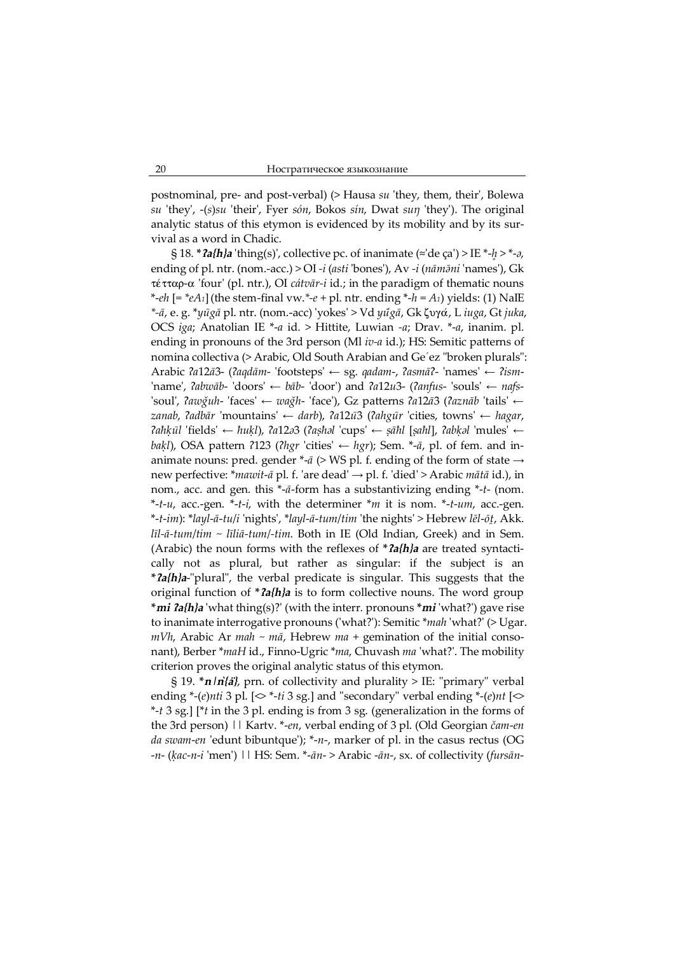postnominal, pre- and post-verbal) (> Hausa *su* 'they, them, their', Bolewa *su* 'they', -(*s*)*su* 'their', Fyer *són*, Bokos *sín*, Dwat *suŋ* 'they'). The original analytic status of this etymon is evidenced by its mobility and by its survival as a word in Chadic.

§ 18. **\****ʔa{h}a* 'thing(s)', collective pc. of inanimate (≈'de ҫa') > IE \*-*h* > \*-*ə*, ending of pl. ntr. (nom.-acc.) > OI *-i* (*asti* 'bones'), Av *-i* (*naməni* 'names'), Gk -'four' (pl. ntr.), OI *cátvar-i* id.; in the paradigm of thematic nouns \*-*eh*  $[=$  \**eA*<sup>1</sup>](the stem-final vw.\*-*e* + pl. ntr. ending \*-*h* = *A*<sup>1</sup>) yields: (1) NaIE *\*-a*, e. g. \**yuga* pl. ntr. (nom.-acc) 'yokes' > Vd *yuga*, Gk , L *iuga*, Gt *juka*, OCS *iga*; Anatolian IE \*-*a* id. > Hittite, Luwian *-a*; Drav. \*-*a*, inanim. pl. ending in pronouns of the 3rd person (Ml *iv-a* id.); HS: Semitic patterns of nomina collectiva (> Arabic, Old South Arabian and Ge'ez "broken plurals": Arabic *ʔa*12*a*3- (*ʔaqdam*- 'footsteps' ← sg. *qadam*-, *ʔasmaʔ*- 'names' ← *ʔism*- 'name', *ʔabwab*- 'doors' ← *bab*- 'door') and *ʔa*12*u*3- (*ʔanfus*- 'souls' ← *nafs*- 'soul', *ʔawguh*- 'faces' ← *wagh*- 'face'), Gz patterns *ʔa*12*a*3 (*ʔaznab* 'tails' ← *zanab*, *ʔadbar* 'mountains' ← *darb*), *ʔa*12*u*3 (*ʔahgur* 'cities, towns' ← *hagar*,  $2ahk\bar{u}$ l 'fields'  $\leftarrow$  hukl),  $2a12a3$  ( $2ashal$  'cups'  $\leftarrow$  sahl [sahl],  $2abkal$  'mules'  $\leftarrow$ *bakl*), OSA pattern *<i>?*123 (*?hgr* 'cities'  $\leftarrow$  *hgr*); Sem. \*-*ā*, pl. of fem. and inanimate nouns: pred. gender  $*$ -*ā* (> WS pl. f. ending of the form of state  $\rightarrow$ new perfective: \**mawit*-*a* pl. f. 'are dead' → pl. f. 'died' > Arabic *mata* id.), in nom., acc. and gen. this \*-*a*-form has a substantivizing ending \*-*t*- (nom. \*-*t*-*u*, acc.-gen. \*-*t*-*i*, with the determiner \**m* it is nom. \*-*t*-*um*, acc.-gen. \*-*t*-*im*): \**layl*-*a*-*tu*/*i* 'nights', \**layl*-*a*-*tum*/*tim* 'the nights' > Hebrew *lel*-*ot*, Akk. *līl-a-tum*/*tim ~ līlia-tum*/*-tim*. Both in IE (Old Indian, Greek) and in Sem. (Arabic) the noun forms with the reflexes of **\****ʔa{h}a* are treated syntactically not as plural, but rather as singular: if the subject is an **\****ʔa{h}a*-"plural", the verbal predicate is singular. This suggests that the original function of **\****ʔa{h}a* is to form collective nouns. The word group **\****mi <sup>ʔ</sup>a{h}a* 'what thing(s)?' (with the interr. pronouns **\****mi* 'what?') gave rise to inanimate interrogative pronouns ('what?'): Semitic \**mah* 'what?' (> Ugar. *mVh*, Arabic Ar *mah ~ ma*, Hebrew *ma* + gemination of the initial consonant), Berber \**maH* id., Finno-Ugric \**ma*, Chuvash *ma* 'what?'. The mobility criterion proves the original analytic status of this etymon.

§ 19. **\****n|n{a}*, prn. of collectivity and plurality > IE: "primary" verbal ending \*-(*e*)*nti* 3 pl.  $\left[\diamondsuit^*$ -*ti* 3 sg.] and "secondary" verbal ending \*-(*e*)*nt*  $\left[\diamondsuit\right]$ \*-*t* 3 sg.] [\**t* in the 3 pl. ending is from 3 sg. (generalization in the forms of the 3rd person) || Kartv. \*-*en*, verbal ending of 3 pl. (Old Georgian *cam*-*en da swam*-*en* 'edunt bibuntque'); \*-*n*-, marker of pl. in the casus rectus (OG -*n*- (*kac*-*n*-*i* 'men') || HS: Sem. \*-*an*- > Arabic -*an*-, sx. of collectivity (*fursan*-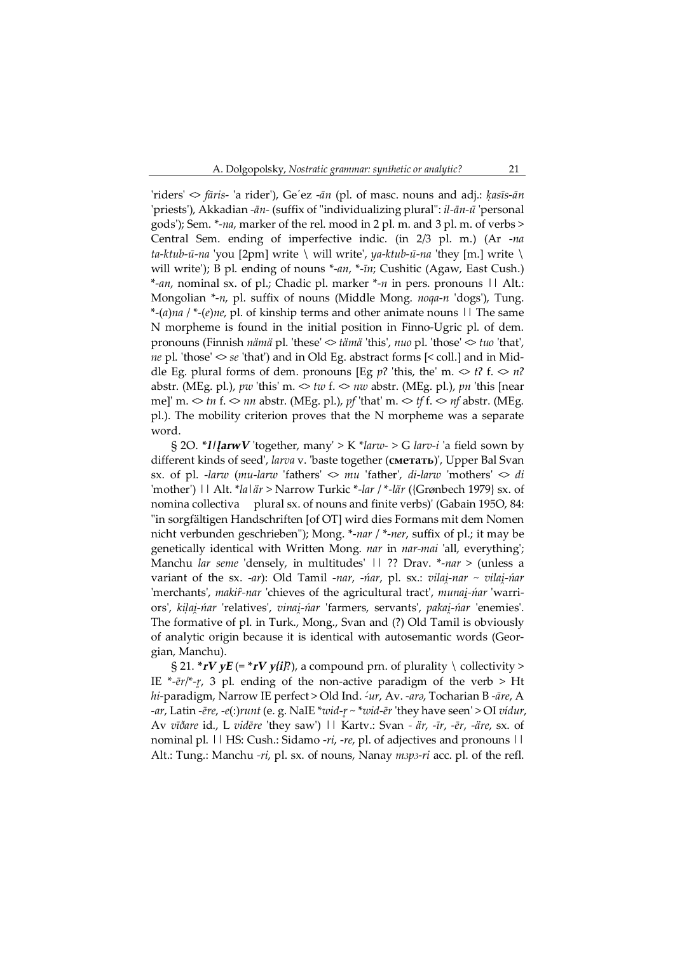'riders'  $\Diamond$  *fāris*- 'a rider'), Ge 'ez -*ān* (pl. of masc. nouns and adj.: *kasīs*-*ān* 'priests'), Akkadian *-an-* (suffix of "individualizing plural": *il-an-u* 'personal gods'); Sem. \*-*na*, marker of the rel. mood in 2 pl. m. and 3 pl. m. of verbs > Central Sem. ending of imperfective indic. (in 2/3 pl. m.) (Ar -*na ta*-*ktub*-*u*-*na* 'you [2pm] write \ will write', *ya*-*ktub*-*u*-*na* 'they [m.] write \ will write'); B pl. ending of nouns \*-*an*, \*-*īn*; Cushitic (Agaw, East Cush.) \*-*an*, nominal sx. of pl.; Chadic pl. marker \*-*n* in pers. pronouns || Alt.: Mongolian \*-*n*, pl. suffix of nouns (Middle Mong. *noqa*-*n* 'dogs'), Tung. \*-(*a*)*na* / \*-(*e*)*ne*, pl. of kinship terms and other animate nouns || The same N morpheme is found in the initial position in Finno-Ugric pl. of dem. pronouns (Finnish *nama* pl. 'these' <> *tama* 'this', *nuo* pl. 'those' <> *tuo* 'that', *ne* pl. 'those'  $\leq$  *se* 'that') and in Old Eg. abstract forms  $[$  < coll.] and in Middle Eg. plural forms of dem. pronouns [Eg  $p^2$  'this, the' m.  $\leq t$ ? f.  $\leq n$ ? abstr. (MEg. pl.), *pw* 'this' m.  $\diamond$  *tw* f.  $\diamond$  *nw* abstr. (MEg. pl.), *pn* 'this [near me]' m.  $\Diamond$  tn f.  $\Diamond$  nn abstr. (MEg. pl.), pf 'that' m.  $\Diamond$  tf f.  $\Diamond$  nf abstr. (MEg. pl.). The mobility criterion proves that the N morpheme was a separate word.

§ 2O. **\****l|larwV* 'together, many' > K \**larw*- > G *larv*-*i* 'a field sown by different kinds of seed', *larva* v. 'baste together (**сметать**)', Upper Bal Svan sx. of pl. *-larw* (*mu-larw* 'fathers'  $\Diamond$  *mu* 'father', *di-larw* 'mothers'  $\Diamond$  *di* 'mother') || Alt. \**la|ar* > Narrow Turkic \*-*lar* / \*-*lar* ({Grønbech 1979} sx. of nomina collectiva plural sx. of nouns and finite verbs)' (Gabain 1950, 84: "in sorgfältigen Handschriften [of OT] wird dies Formans mit dem Nomen nicht verbunden geschrieben"); Mong. \*-*nar* / \*-*ner*, suffix of pl.; it may be genetically identical with Written Mong. *nar* in *nar-mai* 'all, everything'; Manchu *lar seme* 'densely, in multitudes' || ?? Drav. \*-*nar* > (unless a variant of the sx. *-ar*): Old Tamil *-nar*, *-ńar*, pl. sx.: *vila-nar ~ vila-ńar* 'merchants', *makir-nar* 'chieves of the agricultural tract', *muna-ńar* 'warriors', *kila-ńar* 'relatives', *vina-ńar* 'farmers, servants', *paka-ńar* 'enemies'. The formative of pl. in Turk., Mong., Svan and (?) Old Tamil is obviously of analytic origin because it is identical with autosemantic words (Georgian, Manchu).

§ 21.  $*$  *rV yE* (=  $*$  *rV y*{*i}*?), a compound prn. of plurality \ collectivity > IE \*- $\bar{e}r$ /\*- $\gamma$ , 3 pl. ending of the non-active paradigm of the verb > Ht *hi-*paradigm, Narrow IE perfect > Old Ind. *-ur*, Av. *-arə*, Tocharian B *-are*, A *-ar*, Latin *-ere*, *-e*(:)*runt* (e. g. NaIE \**wid*- *~* \**wid*-*er* 'they have seen' > OI *vídur*, Av *vīðare* id., L *videre* 'they saw') || Kartv.: Svan *- ar*, -*īr*, -*er*, -*are*, sx. of nominal pl. || HS: Cush.: Sidamo -*ri*, -*re*, pl. of adjectives and pronouns || Alt.: Tung.: Manchu *-ri*, pl. sx. of nouns, Nanay *mзpз*-*ri* acc. pl. of the refl.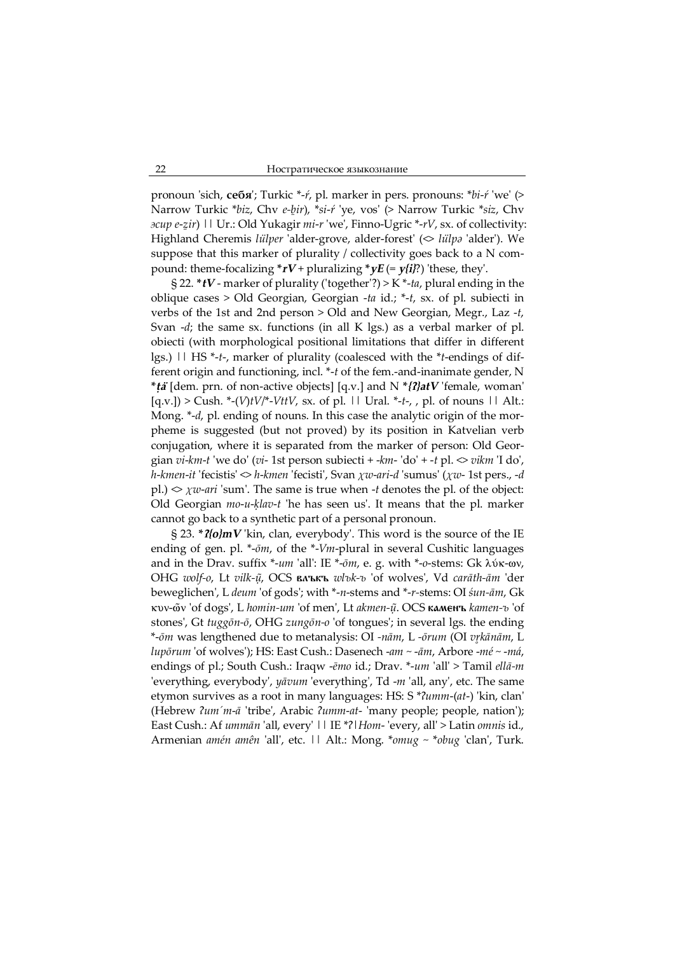pronoun 'sich, **себя**'; Turkic \*-*ŕ*, pl. marker in pers. pronouns: \**bi*-*ŕ* 'we' (> Narrow Turkic \**biz*, Chv *e-bir*), \**si*-*ŕ* 'ye, vos' (> Narrow Turkic \**siz*, Chv *эсир e*-*zir*) || Ur.: Old Yukagir *mi*-*r* 'we', Finno-Ugric \*-*rV*, sx. of collectivity: Highland Cheremis *lulper* 'alder-grove, alder-forest' (<> *lulpə* 'alder'). We suppose that this marker of plurality / collectivity goes back to a N compound: theme-focalizing **\****rV* + pluralizing **\****yE* (= *y{i}*?) 'these, they'.

§ 22. **\****tV* - marker of plurality ('together'?) > K \*-*ta*, plural ending in the oblique cases > Old Georgian, Georgian -*ta* id.; \*-*t*, sx. of pl. subiecti in verbs of the 1st and 2nd person > Old and New Georgian, Megr., Laz -*t*, Svan -*d*; the same sx. functions (in all K lgs.) as a verbal marker of pl. obiecti (with morphological positional limitations that differ in different lgs.) || HS \*-*t*-, marker of plurality (coalesced with the \**t*-endings of different origin and functioning, incl. \*-*t* of the fem.-and-inanimate gender, N **\****<sup>t</sup>a* [dem. prn. of non-active objects] [q.v.] and N **\****{ʔ}atV* 'female, woman' [q.v.]) > Cush. \*-(*V*)*tV*/\*-*VttV*, sx. of pl. || Ural. \*-*t*-, , pl. of nouns || Alt.: Mong. \*-*d*, pl. ending of nouns. In this case the analytic origin of the morpheme is suggested (but not proved) by its position in Katvelian verb conjugation, where it is separated from the marker of person: Old Georgian *vi*-*km*-*t* 'we do' (*vi*- 1st person subjecti + -*km*- 'do' + -*t* pl.  $\diamond$  *vikm* 'I do', *h*-*kmen*-*it* 'fecistis' <> *h*-*kmen* 'fecisti', Svan *χw*-*ari*-*d* 'sumus' (*χw*- 1st pers., -*d* pl.) <> *χw*-*ari* 'sum'. The same is true when -*t* denotes the pl. of the object: Old Georgian *mo*-*u*-*klav*-*t* 'he has seen us'. It means that the pl. marker cannot go back to a synthetic part of a personal pronoun.

§ 23. **\****ʔ{o}mV* 'kin, clan, everybody'. This word is the source of the IE ending of gen. pl. \*-*om*, of the \*-*Vm*-plural in several Cushitic languages and in the Drav. suffix \*-*um* 'all': IE \*- $\bar{o}m$ , e. g. with \*- $o$ -stems: Gk λύκ-ων, OHG *wolf-o*, Lt *vilk-*, OCS влъкъ *wlъk-ъ* 'of wolves', Vd *carath-am* 'der beweglichen', L *deum* 'of gods'; with \*-*n*-stems and \*-*r-*stems: OI *śun-am*, Gk коv-ων 'of dogs', L homin-um 'of men', Lt akmen- $\tilde{u}$ . OCS каменъ *kamen-ъ* 'of stones', Gt *tuggon-o*, OHG *zungon-o* 'of tongues'; in several lgs. the ending \*-*om* was lengthened due to metanalysis: OI *-nam*, L *-orum* (OI *vkanam*, L *luporum* 'of wolves'); HS: East Cush.: Dasenech -*am ~* -*am*, Arbore -*mé ~* -*má*, endings of pl.; South Cush.: Iraqw -*emo* id.; Drav. \*-*um* 'all' > Tamil *ella-m* 'everything, everybody', *yavum* 'everything', Td -*m* 'all, any', etc. The same etymon survives as a root in many languages: HS: S \**ʔumm*-(*at*-) 'kin, clan' (Hebrew *ʔum m*-*a* 'tribe', Arabic *ʔumm*-*at*- 'many people; people, nation'); East Cush.: Af *umman* 'all, every' || IE \**ʔ|Hom*- 'every, all' > Latin *omnis* id., Armenian *amén amên* 'all', etc. || Alt.: Mong. \**omug ~* \**obug* 'clan', Turk.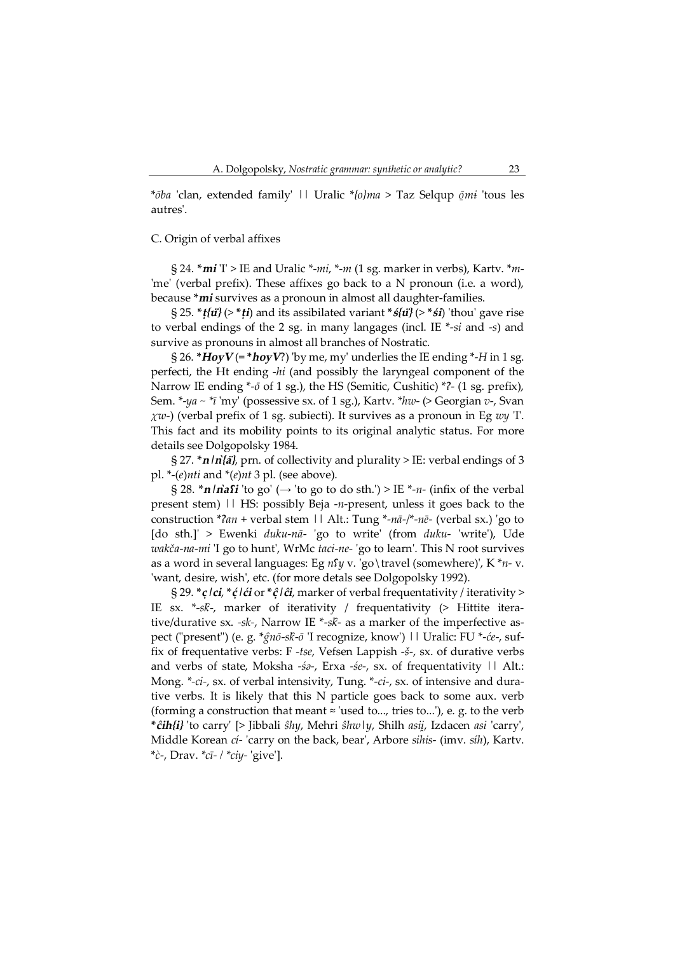\**oba* 'clan, extended family' || Uralic \**{o}ma* > Taz Selqup *omɨ* 'tous les autres'.

## C. Origin of verbal affixes

§ 24. **\****mi* 'I' > IE and Uralic \*-*mi*, \*-*m* (1 sg. marker in verbs), Kartv. \**m*- 'me' (verbal prefix). These affixes go back to a N pronoun (i.e. a word), because **\****mi* survives as a pronoun in almost all daughter-families.

§ 25. **\****<sup>t</sup>{u}* (> **\****<sup>t</sup>i*) and its assibilated variant **\****ś{u}* (> **\****śi*) 'thou' gave rise to verbal endings of the 2 sg. in many langages (incl. IE \*-*si* and -*s*) and survive as pronouns in almost all branches of Nostratic.

§ 26. **\****НoyV* (= **\****hoyV*?) 'by me, my' underlies the IE ending \*-*H* in 1 sg. perfecti, the Ht ending *-hi* (and possibly the laryngeal component of the Narrow IE ending \*-*o* of 1 sg.), the HS (Semitic, Cushitic) \**ʔ*- (1 sg. prefix), Sem. \*-*ya ~ \*ī* 'my' (possessive sx. of 1 sg.), Kartv. \**hw*- (> Georgian *v*-, Svan *χw*-) (verbal prefix of 1 sg. subiecti). It survives as a pronoun in Eg *wy* 'I'. This fact and its mobility points to its original analytic status. For more details see Dolgopolsky 1984.

§ 27. **\****n|n{a}*, prn. of collectivity and plurality > IE: verbal endings of 3 pl. \*-(*e*)*nti* and \*(*e*)*nt* 3 pl. (see above).

§ 28.  $\ast$ *n*  $\ln$ *aSi* 'to go' (→ 'to go to do sth.') > IE  $\ast$ -*n*- (infix of the verbal present stem) || HS: possibly Beja -*n*-present, unless it goes back to the construction \**ʔan* + verbal stem || Alt.: Tung \*-*na*-/\*-*ne*- (verbal sx.) 'go to [do sth.]' > Ewenki *duku*-*na*- 'go to write' (from *duku*- 'write'), Ude *wakca*-*na*-*mi* 'I go to hunt', WrMc *taci-ne-* 'go to learn'. This N root survives as a word in several languages: Eg *nʕy* v. 'go\travel (somewhere)', K \**n*- v. 'want, desire, wish', etc. (for more detals see Dolgopolsky 1992).

§ 29. **\****<sup>c</sup>|ci*, **\****ć|ći* or **\****ĉ|ĉi*, marker of verbal frequentativity / iterativity > IE sx. \*-*sk*-, marker of iterativity / frequentativity (> Hittite iterative/durative sx. *-sk-*, Narrow IE \*-*sk*- as a marker of the imperfective aspect ("present") (e. g. \**gno*-*sk*-*o* 'I recognize, know') || Uralic: FU \*-*će*-, suffix of frequentative verbs: F *-tse*, Vefsen Lappish -*s*-, sx. of durative verbs and verbs of state, Moksha -*śə*-, Erxa -*śe*-, sx. of frequentativity || Alt.: Mong. *\*-ci-*, sx. of verbal intensivity, Tung. \*-*ci*-, sx. of intensive and durative verbs. It is likely that this N particle goes back to some aux. verb (forming a construction that meant  $\approx$  'used to..., tries to...'), e. g. to the verb **\****ĉih{i}* 'to carry' [> Jibbali *shy*, Mehri *shw*|*y*, Shilh *asi*, Izdacen *asi* 'carry', Middle Korean *cí-* 'carry on the back, bear', Arbore *sihis*- (imv. *síh*), Kartv. \**c*-, Drav. *\*cī- / \*ciy-* 'give'].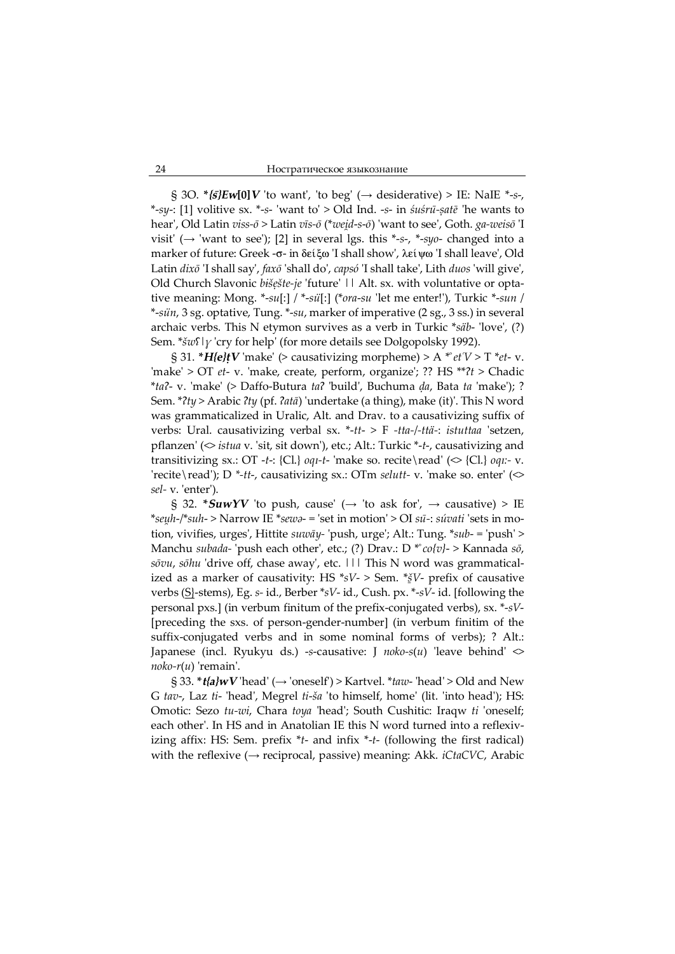§ 30.  $*$ *{s}Ew*[0]*V* 'to want', 'to beg' ( $\rightarrow$  desiderative) > IE: NaIE  $*$ -*s*-, \*-*sy*-: [1] volitive sx. \*-*s*- 'want to' > Old Ind. -*s*- in *śuśru-ṣate* 'he wants to hear', Old Latin *viss-o* > Latin *vīs-o* (\**wed*-*s*-*o*) 'want to see', Goth. *ga-weiso* 'I visit' ( $\rightarrow$  'want to see'); [2] in several lgs. this  $*$ -s-,  $*$ -syo- changed into a marker of future: Greek -σ- in δείξω 'I shall show', λείψω 'I shall leave', Old Latin *dixo* 'I shall say', *faxo* 'shall do', *capsó* 'I shall take', Lith *duos* 'will give', Old Church Slavonic *bɨsẹste-je* 'future' || Alt. sx. with voluntative or optative meaning: Mong. \*-*su*[:] / \*-*su*[:] (\**ora*-*su* 'let me enter!'), Turkic \*-*sun* / \*-*sun*, 3 sg. optative, Tung. \*-*su*, marker of imperative (2 sg., 3 ss.) in several archaic verbs. This N etymon survives as a verb in Turkic \**sab*- 'love', (?) Sem. \**swʕ*|*ɣ* 'cry for help' (for more details see Dolgopolsky 1992).

§ 31. *\*H{e}tV* 'make' (> causativizing morpheme) > A  $*$ <sup>*e*</sup> *et*<sup>*V*</sup> > T  $*$ *et*- *v*. 'make' > OT *et*- v. 'make, create, perform, organize'; ?? HS \*\**ʔt* > Chadic \**taʔ*- v. 'make' (> Daffo-Butura *taʔ* 'build', Buchuma *ḍa*, Bata *ta* 'make'); ? Sem. \**ʔty* > Arabic *ʔty* (pf. *ʔata*) 'undertake (a thing), make (it)'. This N word was grammaticalized in Uralic, Alt. and Drav. to a causativizing suffix of verbs: Ural. causativizing verbal sx. \*-*tt*- > F *-tta-*/*-tta-*: *istuttaa* 'setzen, pflanzen' (<> *istua* v. 'sit, sit down'), etc.; Alt.: Turkic \*-*t*-, causativizing and transitivizing sx.: OT -*t*-: {Cl.} *oqi-t*- 'make so. recite\read' ( $\Diamond$  {Cl.} *oqi:*- v. 'recite\read'); D *\*-tt*-, causativizing sx.: OTm *selutt-* v. 'make so. enter' (<> *sel-* v. 'enter').

§ 32. **\*SuwYV** 'to push, cause' ( $\rightarrow$  'to ask for',  $\rightarrow$  causative) > IE \**seh*-/\**suh*- > Narrow IE \**sewə*- = 'set in motion' > OI *su-*: *súvati* 'sets in motion, vivifies, urges', Hittite *suway-* 'push, urge'; Alt.: Tung. \**sub*- = 'push' > Manchu *subada*- 'push each other', etc.; (?) Drav.: D \* *co{v}*- > Kannada *sō*, *sovu*, *sohu* 'drive off, chase away', etc. ||| This N word was grammaticalized as a marker of causativity: HS \**sV*- > Sem. \**sV*- prefix of causative verbs (S}-stems), Eg. *s-* id., Berber \**sV*- id., Cush. px. \*-*sV*- id. [following the personal pxs.] (in verbum finitum of the prefix-conjugated verbs), sx. \*-*sV*- [preceding the sxs. of person-gender-number] (in verbum finitim of the suffix-conjugated verbs and in some nominal forms of verbs); ? Alt.: Japanese (incl. Ryukyu ds.) -*s*-causative: J *noko-s*(*u*) 'leave behind' <> *noko-r*(*u*) 'remain'.

§ 33. **\****t{a}wV* 'head' (→ 'oneself') > Kartvel. \**taw*- 'head' > Old and New G *tav*-, Laz *ti*- 'head', Megrel *ti*-*sa* 'to himself, home' (lit. 'into head'); HS: Omotic: Sezo *tu-wi*, Chara *toya* 'head'; South Cushitic: Iraqw *ti* 'oneself; each other'. In HS and in Anatolian IE this N word turned into a reflexivizing affix: HS: Sem. prefix \**t*- and infix \*-*t*- (following the first radical) with the reflexive (→ reciprocal, passive) meaning: Akk. *iCtaCVC*, Arabic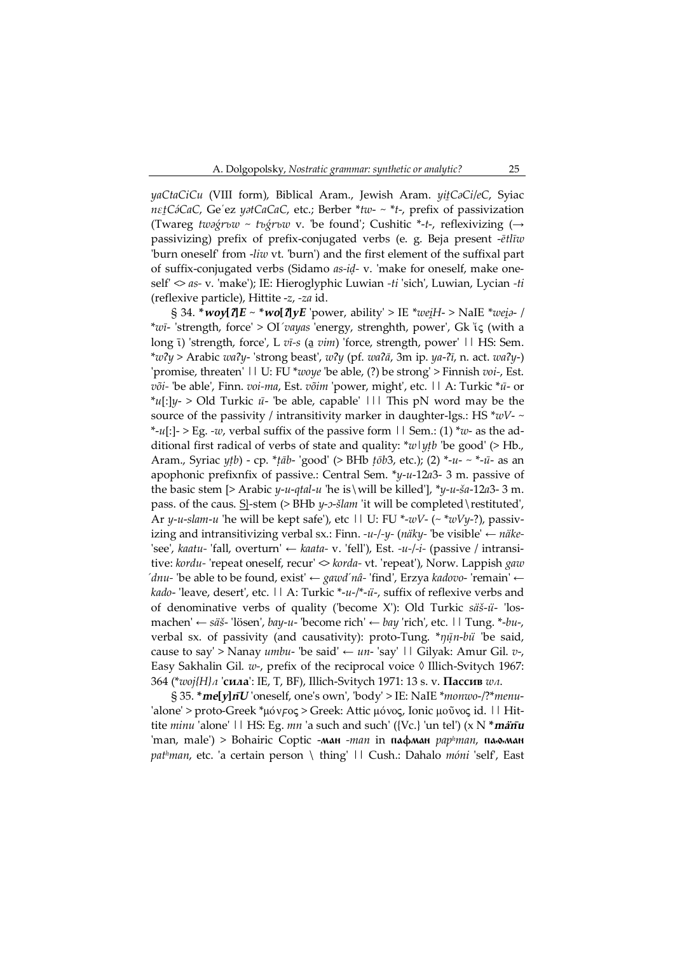*yaCtaCiCu* (VIII form), Biblical Aram., Jewish Aram. *yitCəCi*/*eC*, Syiac *nɛtCCaC*, Ge῾ez *yətCaCaC*, etc.; Berber \**tw*- *~* \**t*-, prefix of passivization (Twareg *twəǵrъw ~ tъǵrъw* v. 'be found'; Cushitic \*-*t*-, reflexivizing (→ passivizing) prefix of prefix-conjugated verbs (e. g. Beja present -*etlīw* 'burn oneself' from -*liw* vt. 'burn') and the first element of the suffixal part of suffix-conjugated verbs (Sidamo *as-iḍ-* v. 'make for oneself, make oneself' <> *as-* v. 'make'); IE: Hieroglyphic Luwian *-ti* 'sich', Luwian, Lycian *-ti* (reflexive particle), Hittite -*z*, *-za* id.

§ 34.  $\star$ *woy*[*<i>ʔ*] $E \sim \star$ *wo*[*ʔ*] $yE$  'power, ability' > IE  $\star$ *weiH-* > NaIE  $\star$ *weia-* / \**wī*- 'strength, force' > OI *vayas* 'energy, strenghth, power', Gk (with a long  $\bar{\iota}$ ) 'strength, force', L  $\bar{v}i$ <sup>-s</sup> (a  $\bar{v}im$ ) 'force, strength, power' || HS: Sem. \**wʔy* > Arabic *waʔy*- 'strong beast', *wʔy* (pf. *waʔa*, 3m ip. *ya*-*ʔī*, n. act. *waʔy*-) 'promise, threaten' || U: FU \**woye* 'be able, (?) be strong' > Finnish *voi-*, Est. *või-* 'be able', Finn. *voi-ma*, Est. *võim* 'power, might', etc. || A: Turkic \**u*- or \**u*[:]*y*- > Old Turkic *u*- 'be able, capable' ||| This pN word may be the source of the passivity / intransitivity marker in daughter-lgs.: HS \**wV*- *~*  \*- $u$ [:]- > Eg. -*w*, verbal suffix of the passive form  $\vert \cdot \vert$  Sem.: (1) \**w*- as the additional first radical of verbs of state and quality: \**w|ytb* 'be good' (> Hb., Aram., Syriac *ytb*) - cp. \**tab*- 'good' (> BHb *tob*3, etc.); (2) \*-*u*- *~* \*-*u*- as an apophonic prefixnfix of passive.: Central Sem. \**y*-*u*-12*a*3- 3 m. passive of the basic stem [> Arabic *y*-*u*-*qtal*-*u* 'he is\will be killed'], \**y*-*u*-*sa*-12*a*3- 3 m. pass. of the caus. S}-stem (> BHb *y*-*ɔ*-*slam* 'it will be completed\restituted', Ar *y*-*u*-*slam*-*u* 'he will be kept safe'), etc || U: FU \*-*wV*- (*~* \**wVy*-?), passivizing and intransitivizing verbal sx.: Finn.  $-u$ -/- $y$ - ( $n\ddot{a}ky$ - 'be visible'  $\leftarrow$   $n\ddot{a}k$ e-'see', *kaatu-* 'fall, overturn' ← *kaata-* v. 'fell'), Est. *-u-*/*-i-* (passive / intransitive: *kordu-* 'repeat oneself, recur' <> *korda-* vt. 'repeat'), Norw. Lappish *gaw dnu-* 'be able to be found, exist' ← *gawd nâ-* 'find', Erzya *kadovo*- 'remain' ← *kado*- 'leave, desert', etc. || A: Turkic \*-*u*-/\*-*u*-, suffix of reflexive verbs and of denominative verbs of quality ('become X'): Old Turkic *sas*-*u*- 'losmachen' ← *sas*- 'lösen', *bay*-*u*- 'become rich' ← *bay* 'rich', etc. || Tung. \*-*bu*-, verbal sx. of passivity (and causativity): proto-Tung. \**ŋun*-*bu* 'be said, cause to say' > Nanay *umbu*- 'be said' ← *un*- 'say' || Gilyak: Amur Gil. *v*-, Easy Sakhalin Gil. *w-*, prefix of the reciprocal voice ◊ Illich-Svitych 1967: 364 (\**woj{H}ʌ* '**сила**': IE, T, BF), Illich-Svitych 1971: 13 s. v. **Пассив** *wʌ*.

§ 35. **\****me***[***y***]***nU* 'oneself, one's own', 'body' > IE: NaIE \**monwo*-/?\**menu*- 'alone' > proto-Greek \*μόν<sub>F</sub>ος > Greek: Attic μόνος, Ionic μοῦνος id. | | Hittite *minu* 'alone' || HS: Eg. *mn* 'a such and such' ({Vc.} 'un tel') (x N **\****man<sup>u</sup>* 'man, male') > Bohairic Coptic -ман *-man* in пафман *paphman*, паѳман *pathman*, etc. 'a certain person \ thing' || Cush.: Dahalo *móni* 'self', East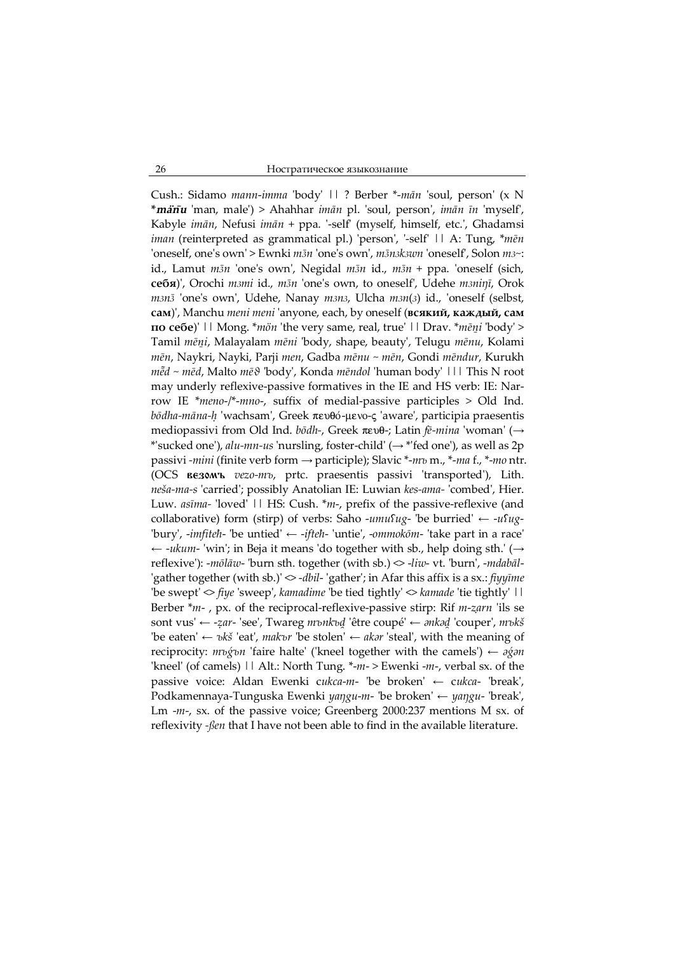Cush.: Sidamo *mann*-*imma* 'body' || ? Berber \*-*man* 'soul, person' (x N **\****man<sup>u</sup>* 'man, male') > Ahahhar *iman* pl. 'soul, person', *iman īn* 'myself', Kabyle *iman*, Nefusi *iman* + ppa. '-self' (myself, himself, etc.', Ghadamsi *iman* (reinterpreted as grammatical pl.) 'person', '-self' || A: Tung, \**men*  'oneself, one's own' > Ewnki *mзn* 'one's own', *mзnзkзwn* 'oneself', Solon *mз~*: id., Lamut *mзn* 'one's own', Negidal *mзn* id., *mзn* + ppa. 'oneself (sich, **себя**)', Orochi *mзmi* id., *mзn* 'one's own, to oneself', Udehe *mзniŋī*, Orok *mзnз* 'one's own', Udehe, Nanay *mзnз*, Ulcha *mзn*(*з*) id., 'oneself (selbst, **сам**)', Manchu *meni meni* 'anyone, each, by oneself (**всякий, каждый, сам по себе**)' || Mong. \**mon* 'the very same, real, true' || Drav. \**meni* 'body' > Tamil *meni*, Malayalam *meni* 'body, shape, beauty', Telugu *menu*, Kolami *men*, Naykri, Nayki, Parji *men*, Gadba *menu ~ men*, Gondi *mendur*, Kurukh *md ~ med*, Malto *meϑ* 'body', Konda *mendol* 'human body' ||| This N root may underly reflexive-passive formatives in the IE and HS verb: IE: Narrow IE \**meno*-/\*-*mno*-, suffix of medial-passive participles > Old Ind. *bōdha-māna-h* 'wachsam', Greek πευθό-μενο-ς 'aware', participia praesentis mediopassivi from Old Ind. *bōdh-*, Greek πευθ-; Latin *fē-mina* 'woman' (→ \*'sucked one'), *alu-mn-us* 'nursling, foster-child' (→ \*'fed one'), as well as 2p passivi *-mini* (finite verb form → participle); Slavic \*-*mъ* m., \*-*ma* f., \*-*mo* ntr. (OCS везомъ *vezo-mъ*, prtc. praesentis passivi 'transported'), Lith. *nesa-ma-s* 'carried'; possibly Anatolian IE: Luwian *kes-ama-* 'combed', Hier. Luw. *asīma-* 'loved' || HS: Cush. \**m*-, prefix of the passive-reflexive (and collaborative) form (stirp) of verbs: Saho -*umuʕug*- 'be burried' ← -*uʕug*- 'bury', -*imfiteħ*- 'be untied' ← -*ifteħ*- 'untie', -*ommokom*- 'take part in a race' ← -*ukum*- 'win'; in Beja it means 'do together with sb., help doing sth.' (→ reflexive'): -*molaw*- 'burn sth. together (with sb.) <> -*liw*- vt. 'burn', -*mdabal*- 'gather together (with sb.)' <> -*dbil*- 'gather'; in Afar this affix is a sx.: *fiyyīme* 'be swept' <> *fiye* 'sweep', *kamadime* 'be tied tightly' <> *kamade* 'tie tightly' || Berber \**m*- , px. of the reciprocal-reflexive-passive stirp: Rif *m*-*zarn* 'ils se sont vus' ← -*zar*- 'see', Twareg *mъnkъd* 'être coupé' ← *ənkəd* 'couper', *mъks* 'be eaten' ← *ъks* 'eat', *makъr* 'be stolen' ← *akər* 'steal', with the meaning of reciprocity: *mъǵъn* 'faire halte' ('kneel together with the camels') ← *əǵən* 'kneel' (of camels) | | Alt.: North Tung. \*- $m$ - > Ewenki - $m$ -, verbal sx. of the passive voice: Aldan Ewenki c*ukca*-*m*- 'be broken' ← c*ukca*- 'break', Podkamennaya-Tunguska Ewenki *yaŋgu*-*m*- 'be broken' ← *yaŋgu*- 'break', Lm -*m*-, sx. of the passive voice; Greenberg 2000:237 mentions M sx. of reflexivity *-ßen* that I have not been able to find in the available literature.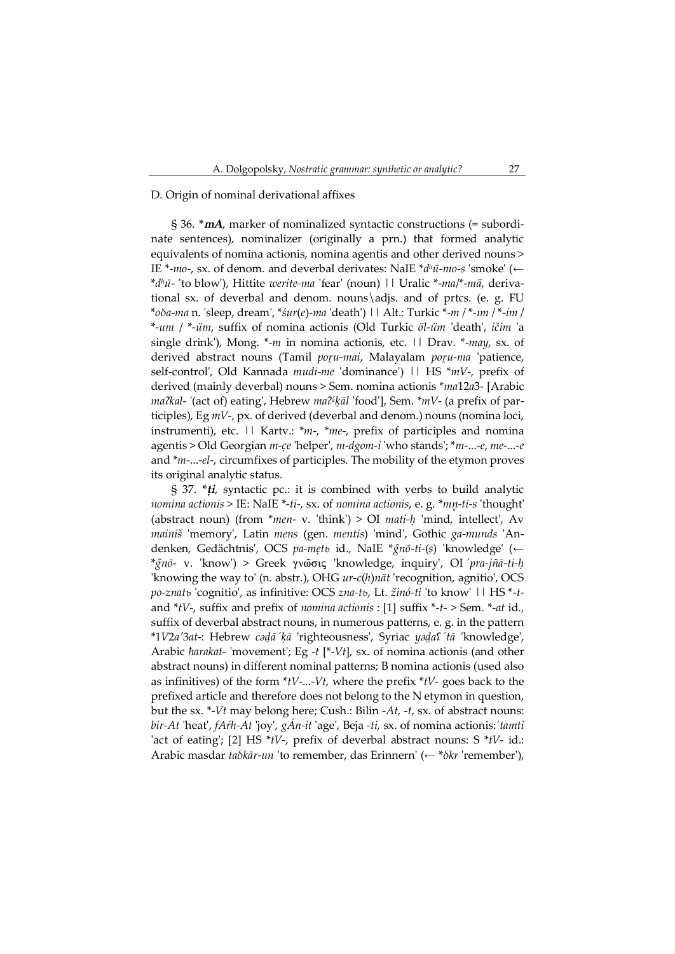#### D. Origin of nominal derivational affixes

§ 36. **\****mA*, marker of nominalized syntactic constructions (= subordinate sentences), nominalizer (originally a prn.) that formed analytic equivalents of nomina actionis, nomina agentis and other derived nouns > IE \*-*mo*-, sx. of denom. and deverbal derivates: NaIE \**dhu*-*mo*-*s* 'smoke' (← \**dhu*- 'to blow'), Hittite *werite-ma* 'fear' (noun) || Uralic \*-*ma*/\*-*ma*, derivational sx. of deverbal and denom. nouns\adjs. and of prtcs. (e. g. FU \**oδa*-*ma* n. 'sleep, dream', \**śur*(*e*)-*ma* 'death') || Alt.: Turkic \*-*m* / \**-ɪm* / \*-*im* / \*-*um* / \*-*um*, suffix of nomina actionis (Old Turkic *ol*-*um* 'death', *icim* 'a single drink'), Mong. \*-*m* in nomina actionis, etc. || Drav. \*-*may*, sx. of derived abstract nouns (Tamil *poru-mai*, Malayalam *poru-ma* 'patience, self-control', Old Kannada *mudi-me* 'dominance') || HS \**mV*-, prefix of derived (mainly deverbal) nouns > Sem. nomina actionis \**ma*12*a*3- [Arabic *maʔkal*- '(act of) eating', Hebrew *maʔ a kal* 'food'], Sem. \**mV*- (a prefix of participles), Eg *mV*-, px. of derived (deverbal and denom.) nouns (nomina loci, instrumenti), etc. || Kartv.: \**m*-, \**me*-, prefix of participles and nomina agentis > Old Georgian *m*-*ce* 'helper', *m*-*dgom*-*i* 'who stands'; \**m*-...-*e*, *me*-...-*e* and \**m*-...-*el*-, circumfixes of participles. The mobility of the etymon proves its original analytic status.

§ 37. **\****<sup>t</sup>i*, syntactic pc.: it is combined with verbs to build analytic *nomina actionis* > IE: NaIE \*-*ti*-, sx. of *nomina actionis*, e. g. \**m*-*ti*-*s* 'thought' (abstract noun) (from \**men*- v. 'think') > OI *mati-h* 'mind, intellect', Av *mainis* 'memory', Latin *mens* (gen. *mentis*) 'mind', Gothic *ga-munds* 'Andenken, Gedächtnis', OCS *pa-mẹtь* id., NaIE \**gno*-*ti*-(*s*) 'knowledge' (← \**gno*- v. 'know') > Greek 'knowledge, inquiry', OI *pra-jña-ti-h* 'knowing the way to' (n. abstr.), OHG *ur-c*(*h*)*nat* 'recognition, agnitio', OCS *po-znatь* 'cognitio', as infinitive: OCS *zna-tь*, Lt. *zinó-ti* 'to know' || HS \*-*t*and \**tV*-, suffix and prefix of *nomina actionis* : [1] suffix \*-*t*- > Sem. \*-*at* id., suffix of deverbal abstract nouns, in numerous patterns, e. g. in the pattern \*1*V*2*a'*3*at*-: Hebrew *cəda ka* 'righteousness', Syriac *yədaʕ ta* 'knowledge', Arabic *ħarakat*- 'movement'; Eg *-t* [\*-*Vt*], sx. of nomina actionis (and other abstract nouns) in different nominal patterns; B nomina actionis (used also as infinitives) of the form \**tV*-...-*Vt*, where the prefix \**tV*- goes back to the prefixed article and therefore does not belong to the N etymon in question, but the sx. \*-*Vt* may belong here; Cush.: Bilin *-At*, *-t*, sx. of abstract nouns: *bír-At* 'heat', *fAŕh-At* 'joy', *gÁn-it* 'age', Beja *-ti*, sx. of nomina actionis: *tamti* 'act of eating'; [2] HS \**tV*-, prefix of deverbal abstract nouns: S \**tV*- id.: Arabic masdar *taδkar*-*un* 'to remember, das Erinnern' (← \**δkr* 'remember'),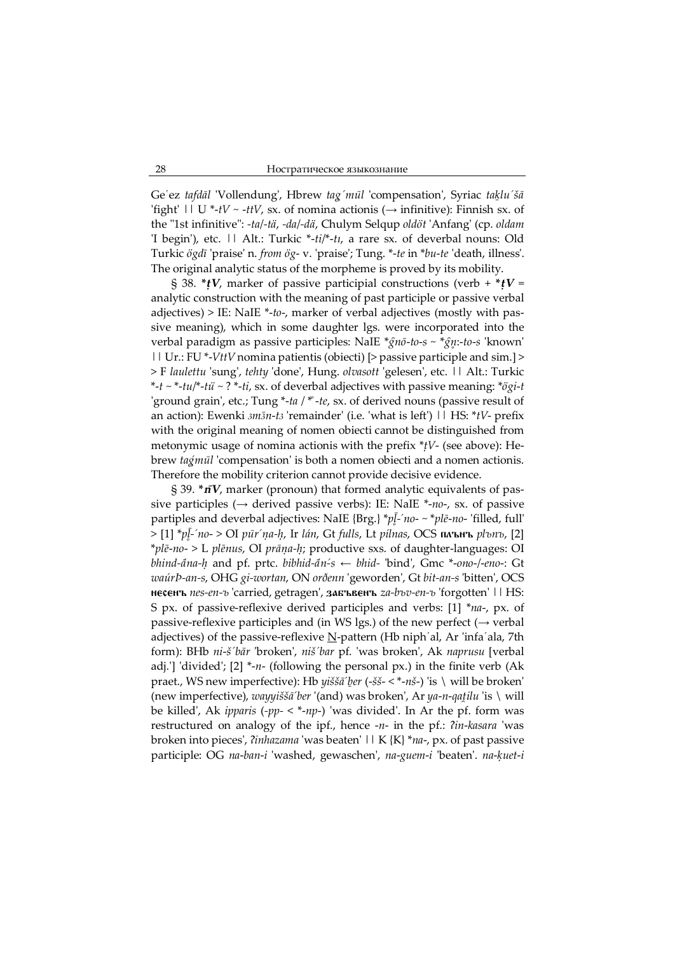Ge῾ez *tafdal* 'Vollendung', Hbrew *tag mul* 'compensation', Syriac *taklu sa* 'fight'  $| \cdot |$  U \*-*tV* ~ -*ttV*, sx. of nomina actionis ( $\rightarrow$  infinitive): Finnish sx. of the "1st infinitive": *-ta*/*-ta*, *-da*/*-da*, Chulym Selqup *oldot* 'Anfang' (cp. *oldam* 'I begin'), etc. || Alt.: Turkic \*-*ti*/\*-*tɪ*, a rare sx. of deverbal nouns: Old Turkic *ogdī* 'praise' n. *from og*- v. 'praise'; Tung. \*-*te* in \**bu*-*te* 'death, illness'. The original analytic status of the morpheme is proved by its mobility.

§ 38.  $*$ *tV*, marker of passive participial constructions (verb +  $*$ *tV* = analytic construction with the meaning of past participle or passive verbal adjectives) > IE: NaIE \*-*to*-, marker of verbal adjectives (mostly with passive meaning), which in some daughter lgs. were incorporated into the verbal paradigm as passive participles: NaIE \**gno*-*to*-*s ~* \**g*:-*to*-*s* 'known' || Ur.: FU \*-*VttV* nomina patientis (obiecti) [> passive participle and sim.] > > F *laulettu* 'sung', *tehty* 'done', Hung. *olvasott* 'gelesen', etc. || Alt.: Turkic \*-*t ~* \*-*tu*/\*-*tu ~* ? \*-*ti*, sx. of deverbal adjectives with passive meaning: \**ogi*-*t* 'ground grain', etc.; Tung \*-*ta* / \* -*te*, sx. of derived nouns (passive result of an action): Ewenki *зmзn*-*tз* 'remainder' (i.e. 'what is left') || HS: \**tV*- prefix with the original meaning of nomen obiecti cannot be distinguished from metonymic usage of nomina actionis with the prefix \**tV*- (see above): Hebrew *tagmul* 'compensation' is both a nomen obiecti and a nomen actionis. Therefore the mobility criterion cannot provide decisive evidence.

§ 39. **\****n<sup>V</sup>*, marker (pronoun) that formed analytic equivalents of passive participles (→ derived passive verbs): IE: NaIE \*-*no*-, sx. of passive partiples and deverbal adjectives: NaIE {Brg.} \**p- no*- *~* \**ple*-*no*- 'filled, full' > [1] \**p- no*- > OI *pur na-h*, Ir *lán*, Gt *fulls*, Lt *pílnas*, OCS плънъ *plъnъ*, [2] \**ple*-*no*- > L *plenus*, OI *prana-h*; productive sxs. of daughter-languages: OI *bhind-ana-h* and pf. prtc. *bibhid-an-s* ← *bhid-* 'bind', Gmc \*-*ono*-/-*eno*-: Gt *waúrÞ-an-s*, OHG *gi-wortan*, ON *orðenn* 'geworden', Gt *bit-an-s* 'bitten', OCS несенъ *nes-en-ъ* 'carried, getragen', забъвенъ *za-bъv-en-ъ* 'forgotten' || HS: S px. of passive-reflexive derived participles and verbs: [1] \**na*-, px. of passive-reflexive participles and (in WS lgs.) of the new perfect ( $\rightarrow$  verbal adjectives) of the passive-reflexive  $N$ -pattern (Hb niph al, Ar 'infa ala, 7th form): BHb *ni*-*s bar* 'broken', *nis bar* pf. 'was broken', Ak *naprusu* [verbal adj.'] 'divided'; [2] \*-*n*- (following the personal px.) in the finite verb (Ak praet., WS new imperfective): Hb *yissa ber* (-*ss*- < \*-*ns*-) 'is \ will be broken' (new imperfective), *wayyissa ber* '(and) was broken', Ar *ya*-*n*-*qatilu* 'is \ will be killed', Ak *ipparis* (*-pp-* < \*-*np*-) 'was divided'. In Ar the pf. form was restructured on analogy of the ipf., hence -*n*- in the pf.: *ʔin*-*kasara* 'was broken into pieces', *ʔinhazama* 'was beaten' || K {K} \**na*-, px. of past passive participle: OG *na*-*ban*-*i* 'washed, gewaschen', *na*-*guem*-*i* 'beaten'. *na*-*kuet*-*i*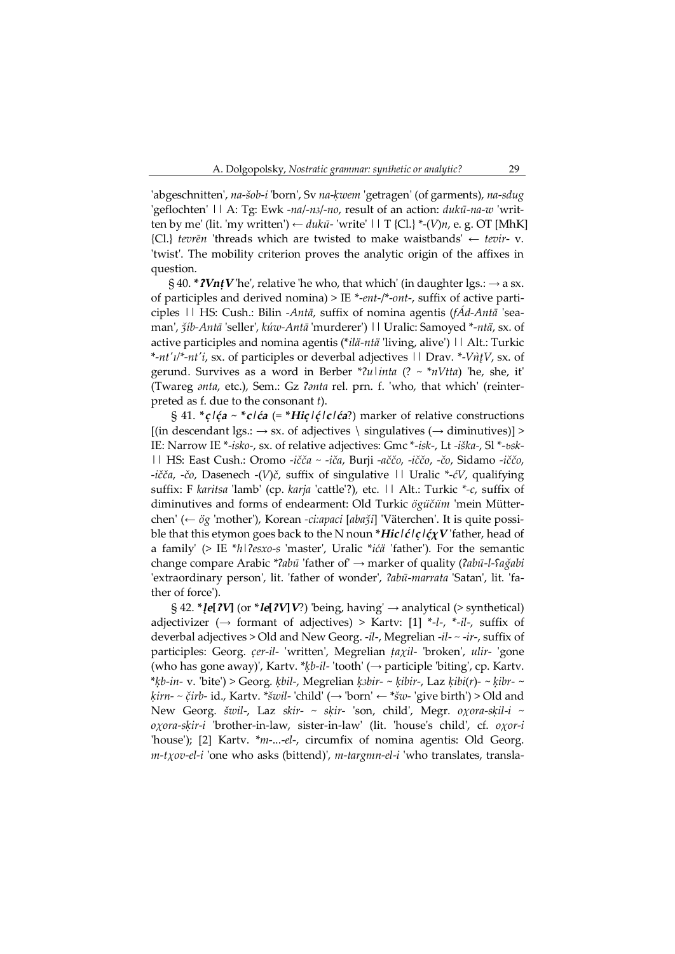'abgeschnitten', *na*-*sob*-*i* 'born', Sv *na*-*kwem* 'getragen' (of garments), *na*-*sdug* 'geflochten' || A: Tg: Ewk -*na*/-*nз*/-*no*, result of an action: *duku*-*na*-*w* 'written by me' (lit. 'my written')  $\leftarrow$  *dukū*- 'write' || T {Cl.} \*-(*V*)*n*, e. g. OT [MhK] {Cl.} *tevren* 'threads which are twisted to make waistbands' ← *tevir*- v. 'twist'. The mobility criterion proves the analytic origin of the affixes in question.

§ 40. **\****<i>YntV* 'he', relative 'he who, that which' (in daughter lgs.:  $\rightarrow$  a sx. of participles and derived nomina) > IE \*-*ent*-/\*-*ont*-, suffix of active participles || HS: Cush.: Bilin *-Anta*, suffix of nomina agentis (*fÁd-Anta* 'seaman', *ʒíb-Anta* 'seller', *kúw-Anta* 'murderer') || Uralic: Samoyed \*-*nta*, sx. of active participles and nomina agentis (\**ila*-*nta* 'living, alive') || Alt.: Turkic \*-*nt'ɪ/\*-nt'i*, sx. of participles or deverbal adjectives || Drav. \*-*VntV*, sx. of gerund. Survives as a word in Berber \**ʔu|inta* (? *~* \**nVtta*) 'he, she, it' (Twareg *ənta*, etc.), Sem.: Gz *ʔənta* rel. prn. f. 'who, that which' (reinterpreted as f. due to the consonant *t*).

§ 41.  $*$ *c|ća* ~  $*$ *c|ća* (=  $*$ *Hic|ć|c|ća*?) marker of relative constructions [(in descendant lgs.:  $\rightarrow$  sx. of adjectives  $\langle \text{singulatives} (\rightarrow$  diminutives)] > IE: Narrow IE \*-*isko*-, sx. of relative adjectives: Gmc \*-*isk*-, Lt *-iska-*, Sl \*-*ьsk*- || HS: East Cush.: Oromo -*icca ~* -*ica*, Burji -*acco*, -*icco*, -*co*, Sidamo -*icco*, -*icca*, -*co*, Dasenech -(*V*)*c*, suffix of singulative || Uralic \*-*ćV*, qualifying suffix: F *karitsa* 'lamb' (cp. *karja* 'cattle'?), etc. || Alt.: Turkic *\*-c*, suffix of diminutives and forms of endearment: Old Turkic *ogucum* 'mein Mütterchen' (← *og* 'mother'), Korean *-ci:apaci* [*abaʒi*] 'Väterchen'. It is quite possible that this etymon goes back to the N noun **\****Hic|ć|c|ćχ<sup>V</sup>* 'father, head of a family' (> IE \**h|ʔesxo*-*s* 'master', Uralic \**ića* 'father'). For the semantic change compare Arabic \**ʔabu* 'father of' → marker of quality (*ʔabu*-*l*-*ʕagabi*  'extraordinary person', lit. 'father of wonder', *ʔabu*-*marrata* 'Satan', lit. 'father of force').

§ 42.  $*Ie[2V]$  (or  $*Ie[2V]V$ ?) 'being, having'  $\rightarrow$  analytical (> synthetical) adjectivizer ( $\rightarrow$  formant of adjectives) > Kartv: [1]  $*$ -*l*-,  $*$ -*il*-, suffix of deverbal adjectives > Old and New Georg. -*il*-, Megrelian -*il*- *~* -*ir*-, suffix of participles: Georg. *cer*-*il*- 'written', Megrelian *taχil*- 'broken', *ulir*- 'gone (who has gone away)', Kartv. \**kb*-*il*- 'tooth' (→ participle 'biting', cp. Kartv. \**kb*-*in*- v. 'bite') > Georg. *kbil*-, Megrelian *kзbir*- *~ kibir*-, Laz *kibi*(*r*)- *~ kibr*- *~ kirn*- *~ cirb*- id., Kartv. \**swil*- 'child' (→ 'born' ← \**sw*- 'give birth') > Old and New Georg. *swil*-, Laz *skir*- *~ skir*- 'son, child', Megr. *oχora*-*skil*-*i ~ oχora*-*skir*-*i* 'brother-in-law, sister-in-law' (lit. 'house's child', cf. *oχor*-*i* 'house'); [2] Kartv. \**m*-...-*el*-, circumfix of nomina agentis: Old Georg. *m*-*tχov*-*el*-*i* 'one who asks (bittend)', *m*-*targmn*-*el*-*i* 'who translates, transla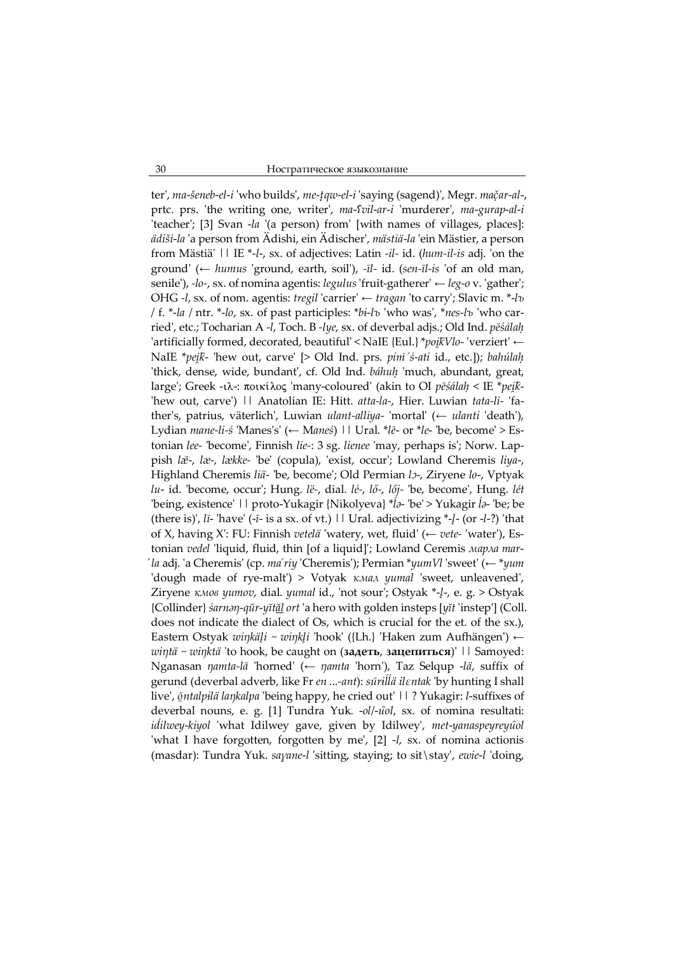ter', *ma*-*seneb*-*el*-*i* 'who builds', *me*-*tqw*-*el*-*i* 'saying (sagend)', Megr. *macar-al*-, prtc. prs. 'the writing one, writer', *ma*-*ʕvil*-*ar*-*i* 'murderer', *ma*-*gurap*-*al*-*i* 'teacher'; [3] Svan -*la* '(a person) from' [with names of villages, places]: *adisi*-*la* 'a person from Ädishi, ein Ädischer', *mastia*-*la* 'ein Mästier, a person from Mästiä' || IE \*-*l*-, sx. of adjectives: Latin *-il-* id. (*hum-il-is* adj. 'on the ground' (← *humus* 'ground, earth, soil'), *-īl-* id. (*sen-īl-is* 'of an old man, senile'), *-lo-*, sx. of nomina agentis: *legulus* 'fruit-gatherer' ← *leg-o* v. 'gather'; OHG *-l*, sx. of nom. agentis: *tregil* 'carrier' ← *tragan* 'to carry'; Slavic m. \*-*lъ* / f. \*-*la* / ntr. \*-*lo*, sx. of past participles: \**bɨ*-*lъ* 'who was', \**nes*-*lъ* 'who carried', etc.; Tocharian A *-l*, Toch. B *-lye*, sx. of deverbal adjs.; Old Ind. *peśálah* 'artificially formed, decorated, beautiful' < NaIE {Eul.} \**pokVlo*- 'verziert' ← NaIE \**pek*- 'hew out, carve' [> Old Ind. prs. *pim ś-ati* id., etc.]); *bahúlah* 'thick, dense, wide, bundant', cf. Old Ind. *báhuh* 'much, abundant, great, large'; Greek -ιλ -: ποικίλος 'many-coloured' (akin to OI *pēśálah* < IE \**peik*-'hew out, carve') || Anatolian IE: Hitt. *atta-la-*, Hier. Luwian *tata-li-* 'father's, patrius, väterlich', Luwian *ulant-alliya-* 'mortal' (← *ulanti* 'death'), Lydian *mane-li-ś* 'Manes's' (← M*aneś*) || Ural. \**le*- or \**le*- 'be, become' > Estonian *lee-* 'become', Finnish *lie-*: 3 sg. *lienee* 'may, perhaps is'; Norw. Lappish *læ-*, *læ-*, *lække-* 'be' (copula), 'exist, occur'; Lowland Cheremis *liya*-, Highland Cheremis *lia*- 'be, become'; Old Permian *lɔ*-, Ziryene *lo*-, Vptyak *lu*- id. 'become, occur'; Hung. *lë-*, dial. *lé-*, *lő-*, *lőj-* 'be, become', Hung. *lét* 'being, existence' || proto-Yukagir {Nikolyeva} \**ĺə*- 'be' > Yukagir *ĺə*- 'be; be (there is)', *lī*- 'have' (-*ī*- is a sx. of vt.) || Ural. adjectivizing \*-*l*- (or -*l*-?) 'that of X, having X': FU: Finnish *vetela* 'watery, wet, fluid' (← *vete-* 'water'), Estonian *vedel* 'liquid, fluid, thin [of a liquid]'; Lowland Ceremis *марла mar la* adj. 'a Cheremis' (cp. *ma riy* 'Cheremis'); Permian \**yumVl* 'sweet' (← \**yum* 'dough made of rye-malt') > Votyak *кмал yumal* 'sweet, unleavened', Ziryene *кмов yumov*, dial. *yumal* id., 'not sour'; Ostyak \*-*l*-, e. g. > Ostyak {Collinder} *śarnəŋ*-*qŭr*-*yĭtăl ort* 'a hero with golden insteps [*yĭt* 'instep'] (Coll. does not indicate the dialect of Os, which is crucial for the et. of the sx.), Eastern Ostyak *wiŋkali ~ wiŋkli* 'hook' ({Lh.} 'Haken zum Aufhängen') ← *wiŋta ~ wiŋkta* 'to hook, be caught on (**задеть**, **зацепиться**)' || Samoyed: Nganasan *ŋamta-la* 'horned' (← *ŋamta* 'horn'), Taz Selqup -*la*, suffix of gerund (deverbal adverb, like Fr *en* ...*-ant*): *surɨĺĺa ilɛntak* 'by hunting I shall live', *ontalpɨla laŋkalpa* 'being happy, he cried out' || ? Yukagir: *l*-suffixes of deverbal nouns, e. g. [1] Tundra Yuk. -*ol*/-*uol*, sx. of nomina resultati: *iilwey*-*kiyol* 'what Idilwey gave, given by Idilwey', *met*-*yanaspeyreyuol* 'what I have forgotten, forgotten by me', [2] -*l*, sx. of nomina actionis (masdar): Tundra Yuk. *saɣane*-*l* 'sitting, staying; to sit\stay', *ewie*-*l* 'doing,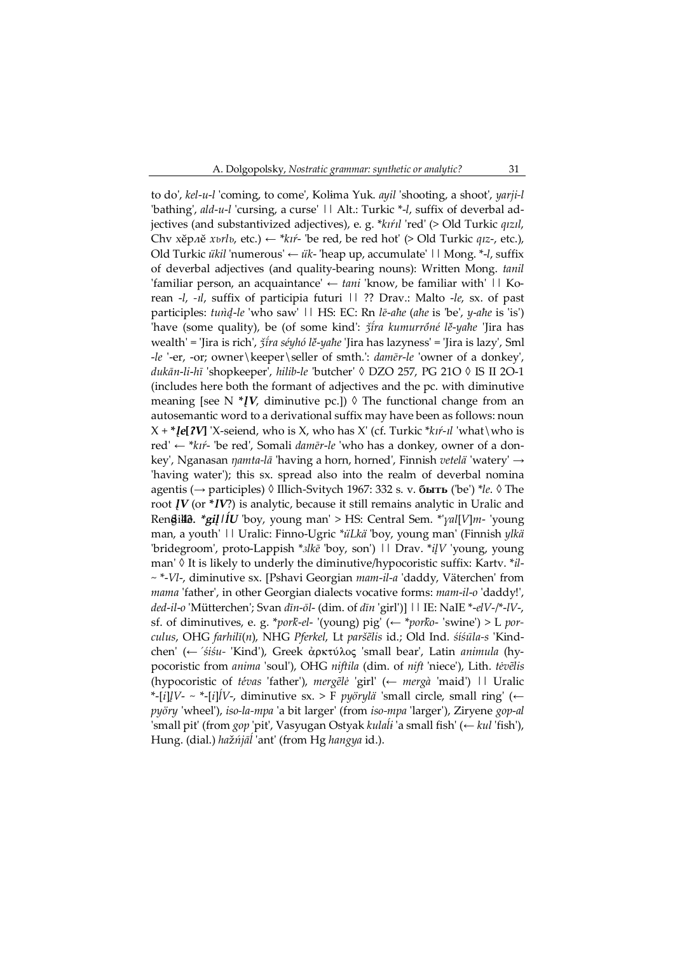to do', *kel*-*u*-*l* 'coming, to come', Kolɨma Yuk. *ayil* 'shooting, a shoot', *yarji-l* 'bathing', *ald*-*u*-*l* 'cursing, a curse' || Alt.: Turkic \*-*l*, suffix of deverbal adjectives (and substantivized adjectives), e. g. \**kɪŕɪl* 'red' (> Old Turkic *qɪzɪl*, Chv херле *xьrlь*, etc.) ← \**kɪŕ*- 'be red, be red hot' (> Old Turkic *qɪz*-, etc.), Old Turkic *ukil* 'numerous' ← *uk*- 'heap up, accumulate' || Mong. \*-*l*, suffix of deverbal adjectives (and quality-bearing nouns): Written Mong. *tanil* 'familiar person, an acquaintance' ← *tani* 'know, be familiar with' || Korean -*l*, *-ɪl*, suffix of participia futuri || ?? Drav.: Malto -*le*, sx. of past participles: *tund*-*le* 'who saw' || HS: EC: Rn *le*-*aħe* (*aħe* is 'be', *y*-*aħe* is 'is') 'have (some quality), be (of some kind': *ʒra kumurroné lē*-*yaħe* 'Jira has wealth' = 'Jira is rich', *ʒra séyhó lē*-*yaħe* 'Jira has lazyness' = 'Jira is lazy', Sml -*le* '-er, -or; owner\keeper\seller of smth.': *damer*-*le* 'owner of a donkey', *dukan*-*li*-*hī* 'shopkeeper', *hilib*-*le* 'butcher' ◊ DZO 257, PG 21O ◊ IS II 2O-1 (includes here both the formant of adjectives and the pc. with diminutive meaning [see N  $*$ *lV*, diminutive pc.])  $\Diamond$  The functional change from an autosemantic word to a derivational suffix may have been as follows: noun X + **\****le***[***<sup>ʔ</sup>V***]** 'X-seiend, who is X, who has X' (cf. Turkic \**kɪŕ*-*ɪl* 'what\who is red' ← \**kɪŕ*- 'be red', Somali *damer*-*le* 'who has a donkey, owner of a donkey', Nganasan *ŋamta-la* 'having a horn, horned', Finnish *vetela* 'watery' → 'having water'); this sx. spread also into the realm of deverbal nomina agentis (→ participles) ◊ Illich-Svitych 1967: 332 s. v. **быть** ('be') \**le*. ◊ The root *l<sup>V</sup>* (or **\****lV*?) is analytic, because it still remains analytic in Uralic and Rend§ill43e. *\*gil|ĺ<sup>U</sup>* 'boy, young man' > HS: Central Sem. \*'*ɣal*[*V*]*m*- 'young man, a youth' || Uralic: Finno-Ugric *\*uLka* 'boy, young man' (Finnish *ylka* 'bridegroom', proto-Lappish \**зlke* 'boy, son') || Drav. \**ilV* 'young, young man' ◊ It is likely to underly the diminutive/hypocoristic suffix: Kartv. \**il*- *~* \*-*Vl*-, diminutive sx. [Pshavi Georgian *mam*-*il*-*a* 'daddy, Väterchen' from *mama* 'father', in other Georgian dialects vocative forms: *mam*-*il*-*o* 'daddy!', *ded*-*il*-*o* 'Mütterchen'; Svan *dīn*-*ol*- (dim. of *dīn* 'girl')] || IE: NaIE \*-*elV*-/\*-*lV*-, sf. of diminutives, e. g. \**pork*-*el*- '(young) pig' (← \**porko*- 'swine') > L *porculus*, OHG *farhilī*(*n*), NHG *Pferkel*, Lt *parsẽlis* id.; Old Ind. *śíśula-s* 'Kindchen' (← *śiśu-* 'Kind'), Greek 'small bear', Latin *animula* (hypocoristic from *anima* 'soul'), OHG *niftila* (dim. of *nift* 'niece'), Lith. *tėvẽlis* (hypocoristic of *tėvas* 'father'), *mergẽlė* 'girl' (← *mergà* 'maid') || Uralic \*-[*i*] $\frac{1}{2}V - \frac{1}{2}$  / $\frac{1}{2}V - \frac{1}{2}$  / $\frac{1}{2}V - \frac{1}{2}$  diminutive sx. > F *pyoryla* 'small circle, small ring' (← *pyory* 'wheel'), *iso-la-mpa* 'a bit larger' (from *iso-mpa* 'larger'), Ziryene *gop*-*al* 'small pit' (from *gop* 'pit', Vasyugan Ostyak *kulaĺɨ* 'a small fish' (← *kul* 'fish'), Hung. (dial.) *ha*ž*ńjaĺ* 'ant' (from Hg *hangya* id.).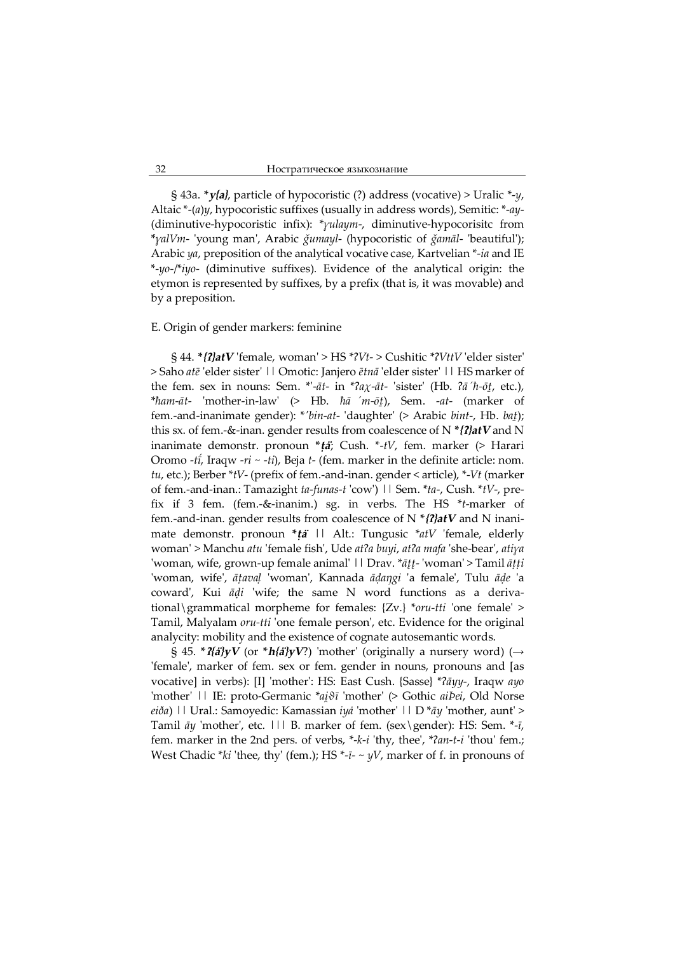§ 43a. **\****y{a}*, particle of hypocoristic (?) address (vocative) > Uralic \*-*y*, Altaic \*-(*a*)*y*, hypocoristic suffixes (usually in address words), Semitic: \*-*ay*- (diminutive-hypocoristic infix): \**ɣulaym*-, diminutive-hypocorisitc from \**ɣalVm*- 'young man', Arabic *gumayl*- (hypocoristic of *gamal*- 'beautiful'); Arabic *ya*, preposition of the analytical vocative case, Kartvelian \*-*ia* and IE \*-*yo*-/\**iyo*- (diminutive suffixes). Evidence of the analytical origin: the etymon is represented by suffixes, by a prefix (that is, it was movable) and by a preposition.

#### E. Origin of gender markers: feminine

§ 44. **\****{ʔ}atV* 'female, woman' > HS \**ʔVt*- > Cushitic \**ʔVttV* 'elder sister' > Saho *ate* 'elder sister' || Omotic: Janjero *etna* 'elder sister' || HS marker of the fem. sex in nouns: Sem. \*'-*at*- in \**ʔaχ*-*at*- 'sister' (Hb. *ʔa ħ-ot*, etc.), \**ħam*-*at*- 'mother-in-law' (> Hb. *ħa m-ot*), Sem. -*at*- (marker of fem.-and-inanimate gender): \**'bin*-*at*- 'daughter' (> Arabic *bint*-, Hb. *bat*); this sx. of fem.-&-inan. gender results from coalescence of N **\****{ʔ}atV* and N inanimate demonstr. pronoun **\****<sup>t</sup>a*; Cush. \*-*tV*, fem. marker (> Harari Oromo -*t*, Iraqw -*ri ~* -*ti*), Beja *t*- (fem. marker in the definite article: nom. *tu*, etc.); Berber \**tV*- (prefix of fem.-and-inan. gender < article), \*-*Vt* (marker of fem.-and-inan.: Tamazight *ta*-*funas*-*t* 'cow') || Sem. \**ta*-, Cush. \**tV*-, prefix if 3 fem. (fem.-&-inanim.) sg. in verbs. The HS \**t*-marker of fem.-and-inan. gender results from coalescence of N **\****{ʔ}atV* and N inanimate demonstr. pronoun **\****<sup>t</sup>a* || Alt.: Tungusic \**atV* 'female, elderly woman' > Manchu *atu* 'female fish', Ude *atʔa buyi*, *atʔa mafa* 'she-bear', *atiɣa* 'woman, wife, grown-up female animal' || Drav. \**att*- 'woman' > Tamil *atti*  'woman, wife', *ataval* 'woman', Kannada *aḍaŋgi* 'a female', Tulu *aḍe* 'a coward', Kui *aḍi* 'wife; the same N word functions as a derivational\grammatical morpheme for females: {Zv.} \**oru*-*tti* 'one female' > Tamil, Malyalam *oru-tti* 'one female person', etc. Evidence for the original analycity: mobility and the existence of cognate autosemantic words.

§ 45. **\*** $\gamma$ *{a}yV* (or **\*** $h$ *{a}yV*?) 'mother' (originally a nursery word) (→ 'female', marker of fem. sex or fem. gender in nouns, pronouns and [as vocative] in verbs): [I] 'mother': HS: East Cush. {Sasse} \**ʔayy*-, Iraqw *ayo* 'mother' || IE: proto-Germanic \**aϑī* 'mother' (> Gothic *aiÞei*, Old Norse *eiða*) || Ural.: Samoyedic: Kamassian *iya* 'mother' || D \**ay* 'mother, aunt' > Tamil *ay* 'mother', etc. ||| B. marker of fem. (sex\gender): HS: Sem. \*-*ī*, fem. marker in the 2nd pers. of verbs, \*-*k*-*i* 'thy, thee', \**ʔan*-*t*-*i* 'thou' fem.; West Chadic \* $ki$  'thee, thy' (fem.); HS \*- $\overline{i}$ -  $\sim$   $\gamma V$ , marker of f. in pronouns of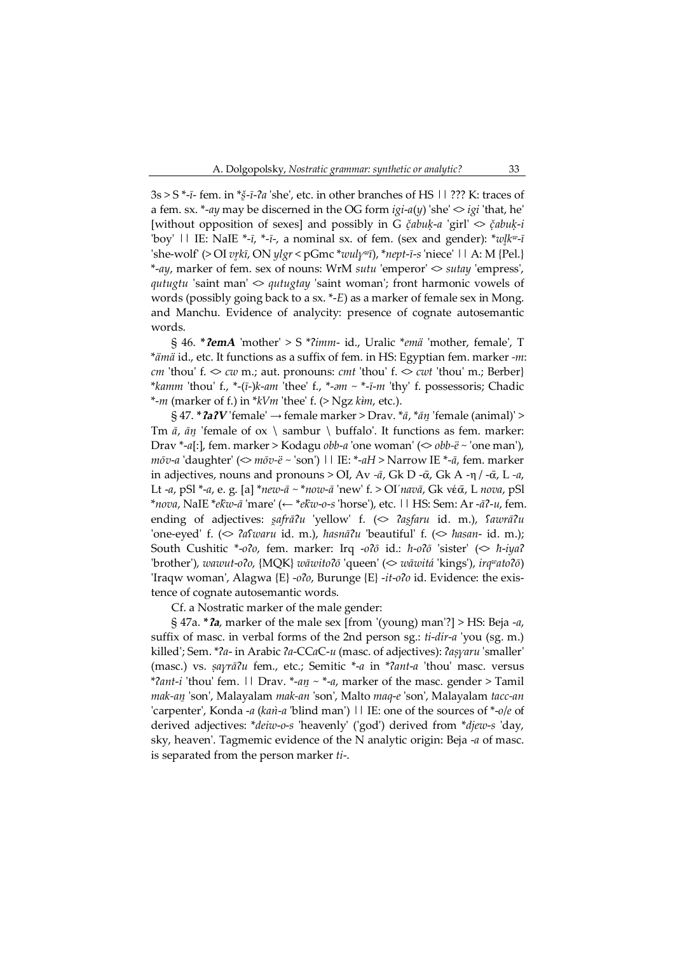3s > S \*-*ī*- fem. in \**s*-*ī*-*ʔa* 'she', etc. in other branches of HS || ??? K: traces of a fem. sx. \*-*ay* may be discerned in the OG form  $i\chi i$ -*a*(*y*) 'she'  $\Diamond$  *igi* 'that, he' [without opposition of sexes] and possibly in G *cabuk*-*a* 'girl' <> *cabuk*-*i* 'boy' || IE: NaIE  $*$ -*ī*,  $*$ -*ī*-, a nominal sx. of fem. (sex and gender):  $*wlk*-\bar{i}$ 'she-wolf' (> OI *vrkī*, ON  $y \mid qr$  < pGmc \**wulv<sup>w</sup>ī*), \**nept-ī-s* 'niece' | | A: M {Pel.} \*-*ay*, marker of fem. sex of nouns: WrM *sutu* 'emperor' <> *sutay* 'empress', *qutugtu* 'saint man' <> *qutugtay* 'saint woman'; front harmonic vowels of words (possibly going back to a sx. \*-*E*) as a marker of female sex in Mong. and Manchu. Evidence of analycity: presence of cognate autosemantic words.

§ 46. **\****ʔemA* 'mother' > S \**ʔimm*- id., Uralic \**ema* 'mother, female', T \**ama* id., etc. It functions as a suffix of fem. in HS: Egyptian fem. marker *-m*: *cm* 'thou'  $f. \diamond$  *cw* m.; aut. pronouns: *cmt* 'thou'  $f. \diamond$  *cwt* 'thou' m.; Berber} \**kamm* 'thou' f., \*-(*ī*-)*k*-*am* 'thee' f., \*-*əm ~* \*-*ī*-*m* 'thy' f. possessoris; Chadic  $*$ -*m* (marker of f.) in  $*kVm$  'thee' f. (> Ngz  $k\hat{i}m$ , etc.).

§ 47. **\*** $2a^2V$  'female' → female marker > Drav.  $*a^*$ ,  $*a^*u$  'female (animal)' > Tm  $\bar{a}$ ,  $\bar{a}$ <sub>n</sub> 'female of ox \ sambur \ buffalo'. It functions as fem. marker: Drav \*-*a*[:], fem. marker > Kodagu *obb*-*a* 'one woman' (<> *obb-ë ~* 'one man'), *mov*-*a* 'daughter' (<> *mov-ë ~* 'son') || IE: \*-*aH* > Narrow IE \*-*a*, fem. marker in adjectives, nouns and pronouns > OI, Av  $-\bar{a}$ , Gk D  $-\bar{\alpha}$ , Gk A  $-\eta$  /  $-\bar{\alpha}$ , L  $-a$ , Lt -*a*, pSl \*-*a*, e. g. [a] \**new*-*a ~* \**now*-*a* 'new' f. > OI *nava*, Gk , L *nova*, pSl \**nova*, NaIE \**ekw*-*a* 'mare' (← \**ekw*-*o*-*s* 'horse'), etc. || HS: Sem: Ar -*aʔ*-*u*, fem. ending of adjectives: *safraʔu* 'yellow' f. (<> *ʔasfaru* id. m.), *ʕawraʔu* 'one-eyed' f. (<> *ʔaʕwaru* id. m.), *ħasnaʔu* 'beautiful' f. (<> *ħasan*- id. m.); South Cushitic \*-*oʔo*, fem. marker: Irq -*oʔo* id.: *ħ*-*oʔo* 'sister' (<> *ħ*-*iyaʔ* 'brother'), *wawut*-*oʔo*, {MQK} *wawitoʔo* 'queen' (<> *wawitá* 'kings'), *irqₙatoʔo*) 'Iraqw woman', Alagwa {E} -*oʔo*, Burunge {E} -*it*-*oʔo* id. Evidence: the existence of cognate autosemantic words.

Cf. a Nostratic marker of the male gender:

§ 47a. **\****<sup>ʔ</sup>a*, marker of the male sex [from '(young) man'?] > HS: Beja -*a*, suffix of masc. in verbal forms of the 2nd person sg.: *ti*-*dir*-*a* 'you (sg. m.) killed'; Sem. \**ʔa*- in Arabic *ʔa*-CC*a*C-*u* (masc. of adjectives): *ʔaṣɣaru* 'smaller' (masc.) vs. *ṣaɣraʔu* fem., etc.; Semitic \*-*a* in \**ʔant*-*a* 'thou' masc. versus \**ʔant*-*i* 'thou' fem. || Drav. \*-*an ~* \*-*a*, marker of the masc. gender > Tamil *mak-an* 'son', Malayalam *mak-an* 'son', Malto *maq*-*e* 'son', Malayalam *tacc-an* 'carpenter', Konda -*a* (*kan*-*a* 'blind man') || IE: one of the sources of \*-*o*/*e* of derived adjectives: \**deiw*-*o*-*s* 'heavenly' ('god') derived from \**djew*-*s* 'day, sky, heaven'. Tagmemic evidence of the N analytic origin: Beja -*a* of masc. is separated from the person marker *ti*-.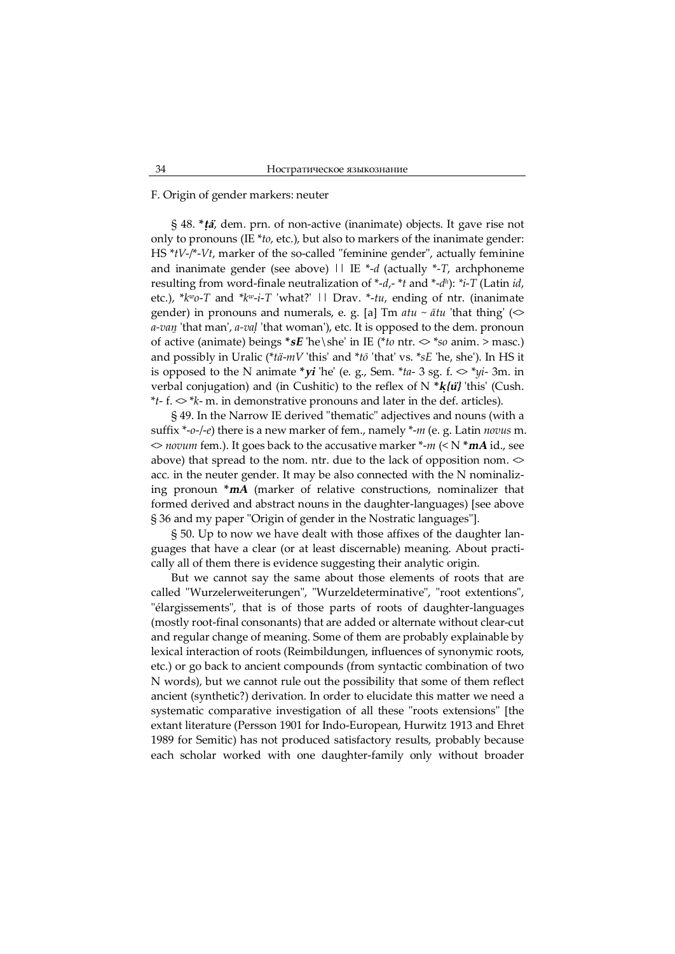## F. Origin of gender markers: neuter

§ 48. **\****<sup>t</sup>a*, dem. prn. of non-active (inanimate) objects. It gave rise not only to pronouns (IE \**to*, etc.), but also to markers of the inanimate gender: HS \**tV*-/\*-*Vt*, marker of the so-called "feminine gender", actually feminine and inanimate gender (see above) || IE \*-*d* (actually \*-*T*, archphoneme resulting from word-finale neutralization of \*-*d*,- \**t* and \*-*dh*): *\*i*-*T* (Latin *id*, etc.), \**kₙo*-*T* and \**kₙ*-*i*-*T* 'what?' || Drav. \*-*tu*, ending of ntr. (inanimate gender) in pronouns and numerals, e. g. [a] Tm  $atu \sim \bar{a}tu$  'that thing' ( $\diamond$ *a-van* 'that man', *a-val* 'that woman'), etc. It is opposed to the dem. pronoun of active (animate) beings  $*sE$  'he \she' in IE ( $*to$  ntr.  $\diamond$   $*so$  anim. > masc.) and possibly in Uralic (\**ta*-*mV* 'this' and \**to* 'that' vs. \**sE* 'he, she'). In HS it is opposed to the N animate  $*\gamma i$  'he' (e. g., Sem.  $*ta-3$  sg. f.  $\leq *yi-3m$ . in verbal conjugation) and (in Cushitic) to the reflex of N **\****k{u}* 'this' (Cush.  $*_{t}$ - f.  $\diamond$   $*_{k}$ - m. in demonstrative pronouns and later in the def. articles).

§ 49. In the Narrow IE derived "thematic" adjectives and nouns (with a suffix \*-*o*-/-*e*) there is a new marker of fem., namely \*-*m* (e. g. Latin *novus* m. <> *novum* fem.). It goes back to the accusative marker \*-*m* (< N **\****mA* id., see above) that spread to the nom. ntr. due to the lack of opposition nom.  $\Diamond$ acc. in the neuter gender. It may be also connected with the N nominalizing pronoun **\****mA* (marker of relative constructions, nominalizer that formed derived and abstract nouns in the daughter-languages) [see above § 36 and my paper "Origin of gender in the Nostratic languages"].

§ 50. Up to now we have dealt with those affixes of the daughter languages that have a clear (or at least discernable) meaning. About practically all of them there is evidence suggesting their analytic origin.

But we cannot say the same about those elements of roots that are called "Wurzelerweiterungen", "Wurzeldeterminative", "root extentions", "élargissements", that is of those parts of roots of daughter-languages (mostly root-final consonants) that are added or alternate without clear-cut and regular change of meaning. Some of them are probably explainable by lexical interaction of roots (Reimbildungen, influences of synonymic roots, etc.) or go back to ancient compounds (from syntactic combination of two N words), but we cannot rule out the possibility that some of them reflect ancient (synthetic?) derivation. In order to elucidate this matter we need a systematic comparative investigation of all these "roots extensions" [the extant literature (Persson 1901 for Indo-European, Hurwitz 1913 and Ehret 1989 for Semitic) has not produced satisfactory results, probably because each scholar worked with one daughter-family only without broader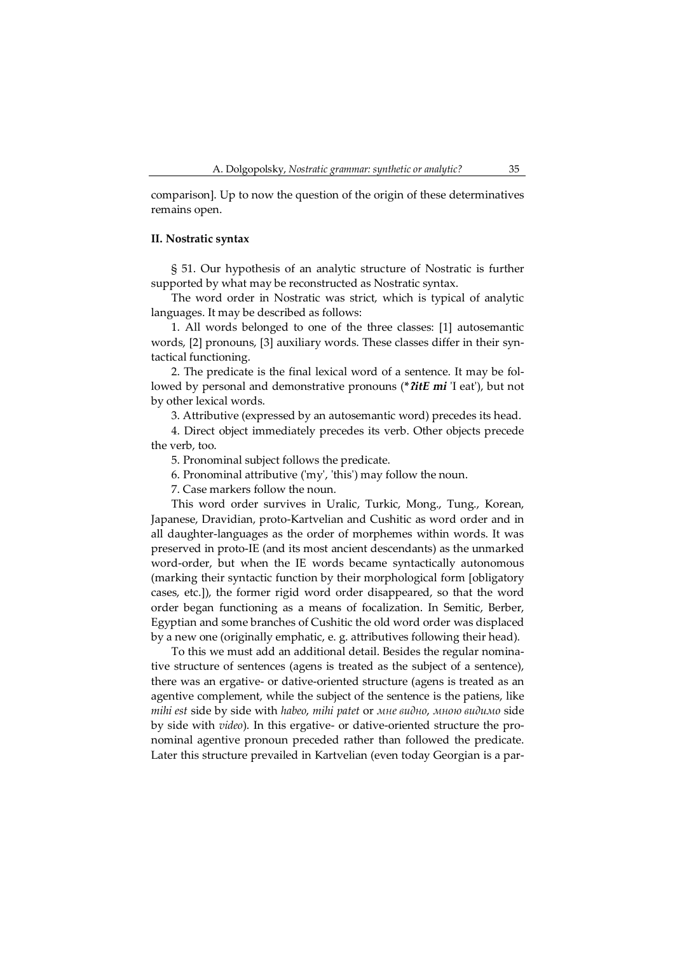comparison]. Up to now the question of the origin of these determinatives remains open.

### **II. Nostratic syntax**

§ 51. Our hypothesis of an analytic structure of Nostratic is further supported by what may be reconstructed as Nostratic syntax.

The word order in Nostratic was strict, which is typical of analytic languages. It may be described as follows:

1. All words belonged to one of the three classes: [1] autosemantic words, [2] pronouns, [3] auxiliary words. These classes differ in their syntactical functioning.

2. The predicate is the final lexical word of a sentence. It may be followed by personal and demonstrative pronouns (**\****ʔitE mi* 'I eat'), but not by other lexical words.

3. Attributive (expressed by an autosemantic word) precedes its head.

4. Direct object immediately precedes its verb. Other objects precede the verb, too.

5. Pronominal subject follows the predicate.

6. Pronominal attributive ('my', 'this') may follow the noun.

7. Case markers follow the noun.

This word order survives in Uralic, Turkic, Mong., Tung., Korean, Japanese, Dravidian, proto-Kartvelian and Cushitic as word order and in all daughter-languages as the order of morphemes within words. It was preserved in proto-IE (and its most ancient descendants) as the unmarked word-order, but when the IE words became syntactically autonomous (marking their syntactic function by their morphological form [obligatory cases, etc.]), the former rigid word order disappeared, so that the word order began functioning as a means of focalization. In Semitic, Berber, Egyptian and some branches of Cushitic the old word order was displaced by a new one (originally emphatic, e. g. attributives following their head).

To this we must add an additional detail. Besides the regular nominative structure of sentences (agens is treated as the subject of a sentence), there was an ergative- or dative-oriented structure (agens is treated as an agentive complement, while the subject of the sentence is the patiens, like *mihi est* side by side with *habeo*, *mihi patet* or *мне видно*, *мною видимо* side by side with *video*). In this ergative- or dative-oriented structure the pronominal agentive pronoun preceded rather than followed the predicate. Later this structure prevailed in Kartvelian (even today Georgian is a par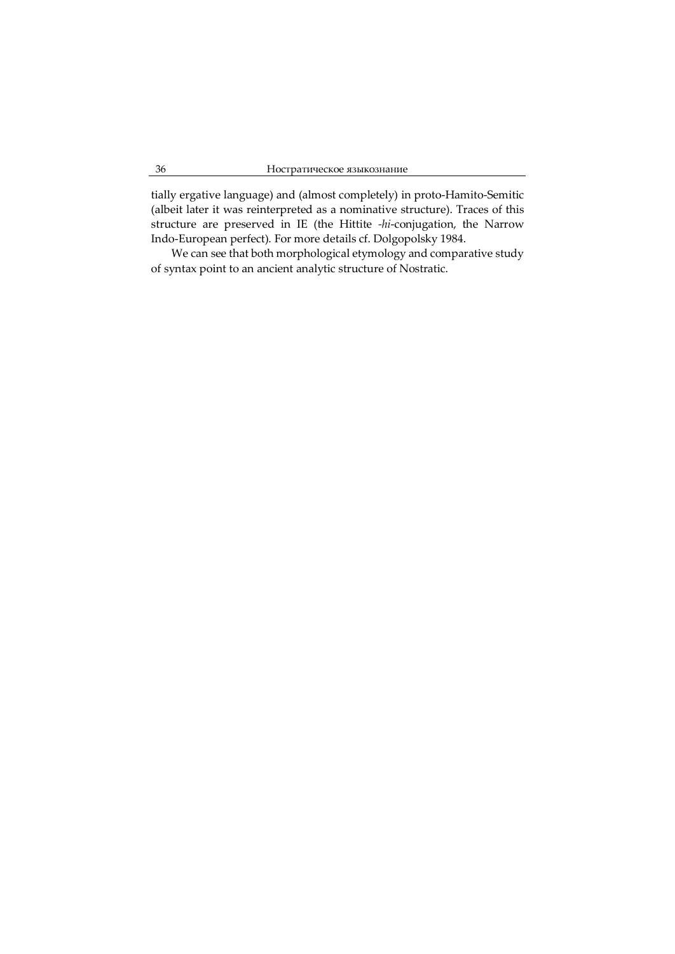tially ergative language) and (almost completely) in proto-Hamito-Semitic (albeit later it was reinterpreted as a nominative structure). Traces of this structure are preserved in IE (the Hittite *-hi*-conjugation, the Narrow Indo-European perfect). For more details cf. Dolgopolsky 1984.

We can see that both morphological etymology and comparative study of syntax point to an ancient analytic structure of Nostratic.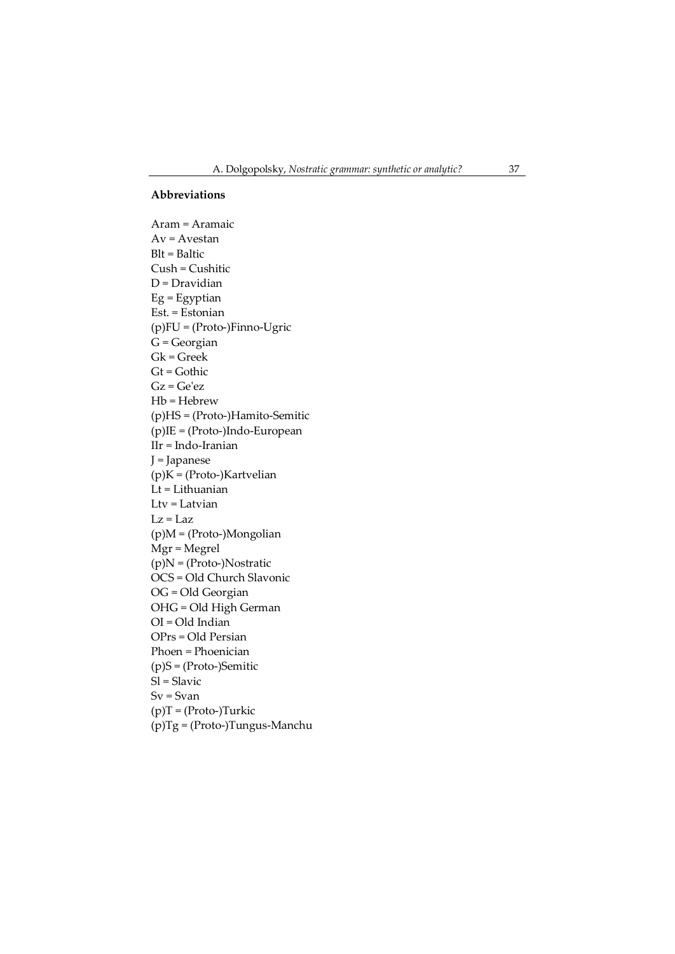## **Abbreviations**

Aram = Aramaic  $Av = A$ vestan  $B<sub>l</sub> = B<sub>l</sub>$ Cush = Cushitic D = Dravidian Eg = Egyptian Est. = Estonian (p)FU = (Proto-)Finno-Ugric G = Georgian Gk = Greek Gt = Gothic  $Gz = Ge'ez$ Hb = Hebrew (p)HS = (Proto-)Hamito-Semitic (p)IE = (Proto-)Indo-European IIr = Indo-Iranian J = Japanese (p)K = (Proto-)Kartvelian Lt = Lithuanian Ltv = Latvian  $Lz = Laz$ (p)M = (Proto-)Mongolian Mgr = Megrel (p)N = (Proto-)Nostratic OCS = Old Church Slavonic OG = Old Georgian OHG = Old High German  $OI = Old Indian$ OPrs = Old Persian Phoen = Phoenician (p)S = (Proto-)Semitic Sl = Slavic  $Sv = Svan$  $(p)T = (Proto-)Turkic$ (p)Tg = (Proto-)Tungus-Manchu